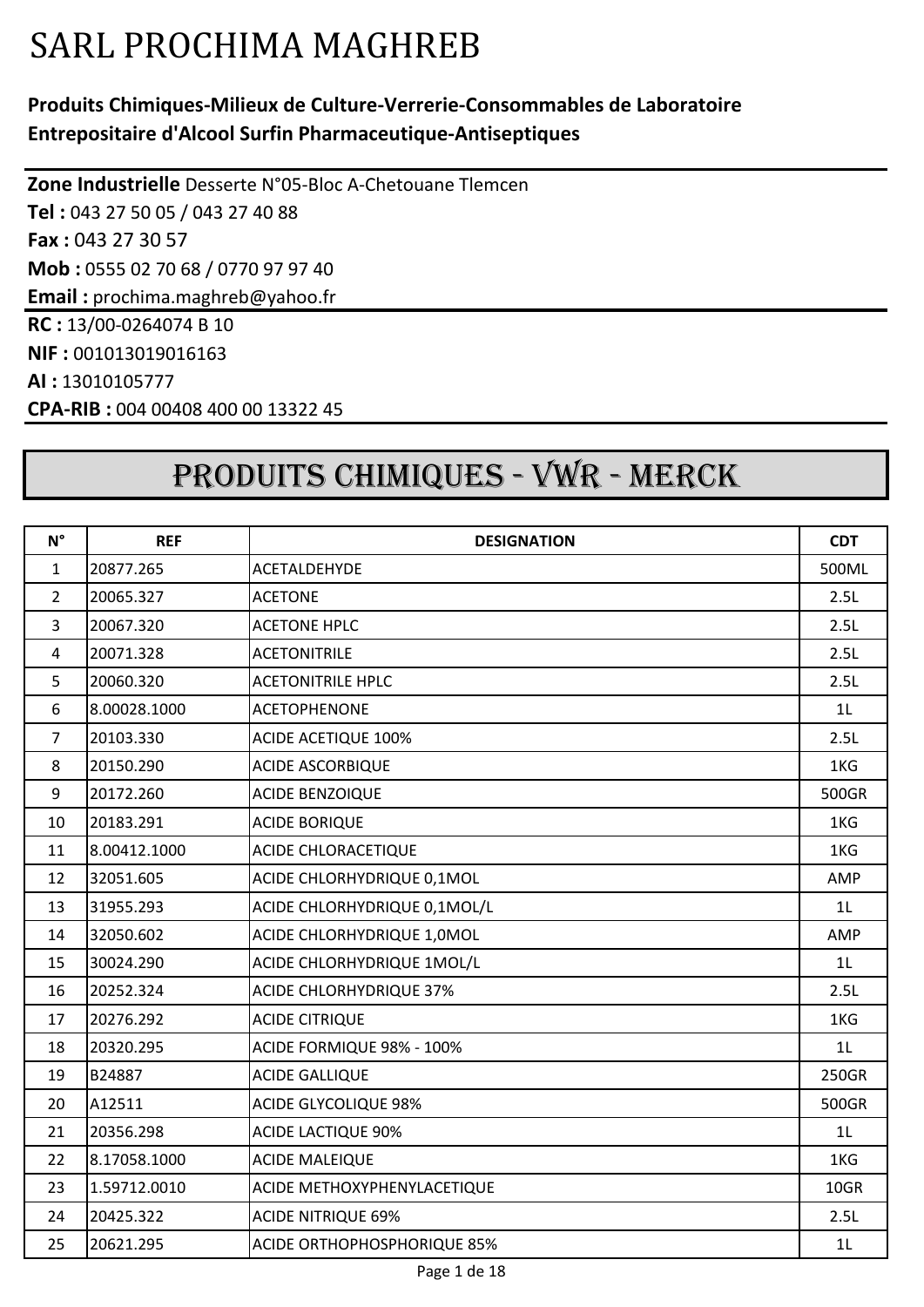# SARL PROCHIMA MAGHREB

#### **Produits Chimiques-Milieux de Culture-Verrerie-Consommables de Laboratoire Entrepositaire d'Alcool Surfin Pharmaceutique-Antiseptiques**

**Zone Industrielle** Desserte N°05-Bloc A-Chetouane Tlemcen **Tel :** 043 27 50 05 / 043 27 40 88 **Fax :** 043 27 30 57 **Mob :** 0555 02 70 68 / 0770 97 97 40 **Email :** prochima.maghreb@yahoo.fr **RC :** 13/00-0264074 B 10 **NIF :** 001013019016163 **AI :** 13010105777 **CPA-RIB :** 004 00408 400 00 13322 45

## PRODUITS CHIMIQUES - VWR - MERCK

| $N^{\circ}$      | <b>REF</b>   | <b>DESIGNATION</b>                 | <b>CDT</b>     |
|------------------|--------------|------------------------------------|----------------|
| $\mathbf{1}$     | 20877.265    | <b>ACETALDEHYDE</b>                | 500ML          |
| $\overline{2}$   | 20065.327    | <b>ACETONE</b>                     | 2.5L           |
| $\overline{3}$   | 20067.320    | <b>ACETONE HPLC</b>                | 2.5L           |
| $\overline{4}$   | 20071.328    | <b>ACETONITRILE</b>                | 2.5L           |
| 5                | 20060.320    | <b>ACETONITRILE HPLC</b>           | 2.5L           |
| $\boldsymbol{6}$ | 8.00028.1000 | <b>ACETOPHENONE</b>                | 1L             |
| $\overline{7}$   | 20103.330    | <b>ACIDE ACETIQUE 100%</b>         | 2.5L           |
| 8                | 20150.290    | <b>ACIDE ASCORBIQUE</b>            | 1KG            |
| 9                | 20172.260    | <b>ACIDE BENZOIQUE</b>             | 500GR          |
| 10               | 20183.291    | <b>ACIDE BORIQUE</b>               | 1KG            |
| 11               | 8.00412.1000 | ACIDE CHLORACETIQUE                | 1KG            |
| 12               | 32051.605    | ACIDE CHLORHYDRIQUE 0,1MOL         | AMP            |
| 13               | 31955.293    | ACIDE CHLORHYDRIQUE 0,1MOL/L       | 1L             |
| 14               | 32050.602    | ACIDE CHLORHYDRIQUE 1,0MOL         | AMP            |
| 15               | 30024.290    | ACIDE CHLORHYDRIQUE 1MOL/L         | 1 <sub>L</sub> |
| 16               | 20252.324    | <b>ACIDE CHLORHYDRIQUE 37%</b>     | 2.5L           |
| 17               | 20276.292    | <b>ACIDE CITRIQUE</b>              | 1KG            |
| 18               | 20320.295    | ACIDE FORMIQUE 98% - 100%          | 1L             |
| 19               | B24887       | <b>ACIDE GALLIQUE</b>              | 250GR          |
| 20               | A12511       | <b>ACIDE GLYCOLIQUE 98%</b>        | 500GR          |
| 21               | 20356.298    | <b>ACIDE LACTIQUE 90%</b>          | 1L             |
| 22               | 8.17058.1000 | <b>ACIDE MALEIQUE</b>              | 1KG            |
| 23               | 1.59712.0010 | ACIDE METHOXYPHENYLACETIQUE        | 10GR           |
| 24               | 20425.322    | <b>ACIDE NITRIQUE 69%</b>          | 2.5L           |
| 25               | 20621.295    | <b>ACIDE ORTHOPHOSPHORIQUE 85%</b> | 1L             |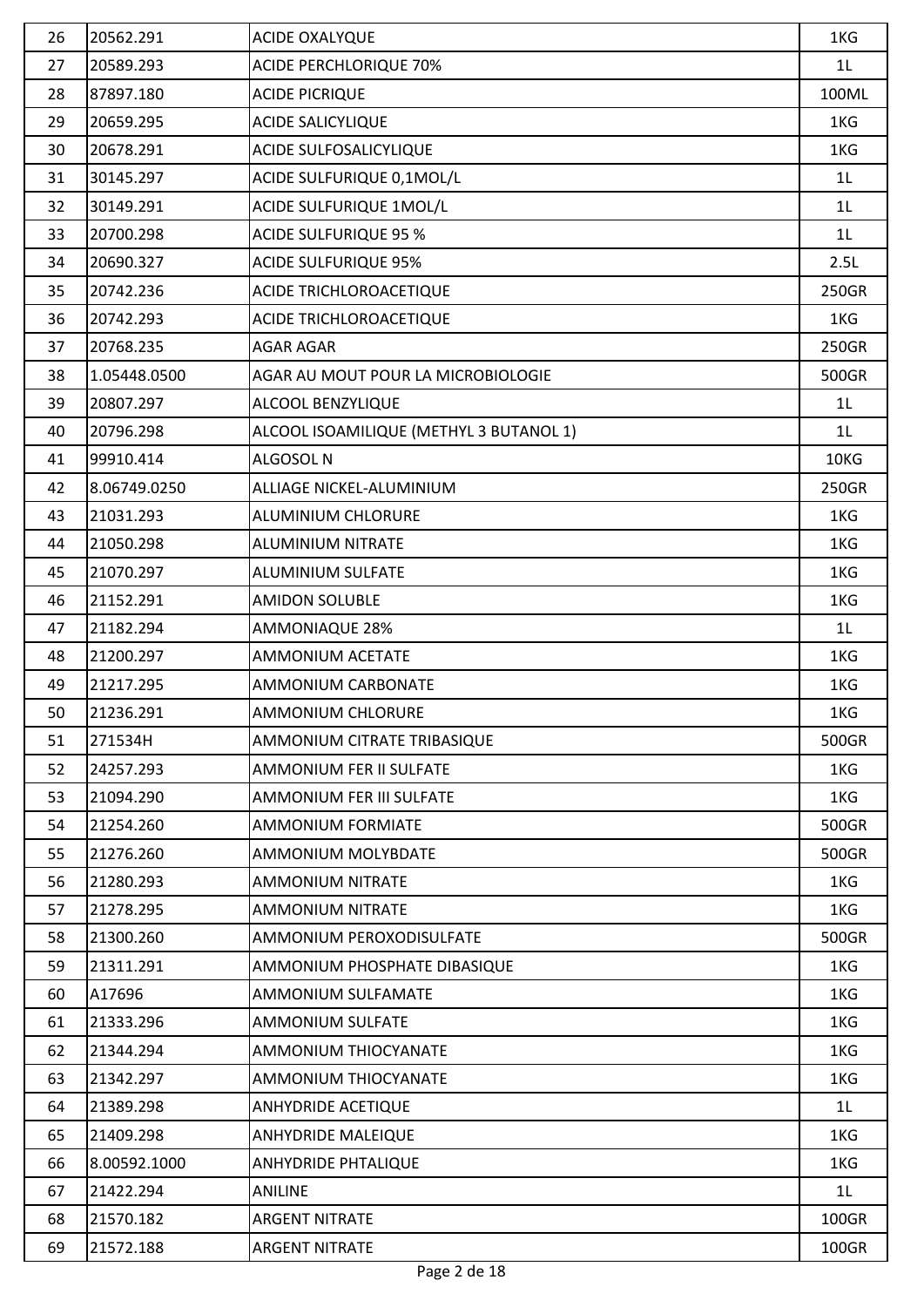| 26 | 20562.291    | ACIDE OXALYQUE                          | 1KG            |
|----|--------------|-----------------------------------------|----------------|
| 27 | 20589.293    | <b>ACIDE PERCHLORIQUE 70%</b>           | 1 <sub>L</sub> |
| 28 | 87897.180    | <b>ACIDE PICRIQUE</b>                   | 100ML          |
| 29 | 20659.295    | <b>ACIDE SALICYLIQUE</b>                | 1KG            |
| 30 | 20678.291    | ACIDE SULFOSALICYLIQUE                  | 1KG            |
| 31 | 30145.297    | ACIDE SULFURIQUE 0,1MOL/L               | 1L             |
| 32 | 30149.291    | ACIDE SULFURIQUE 1MOL/L                 | 1L             |
| 33 | 20700.298    | <b>ACIDE SULFURIQUE 95 %</b>            | 1L             |
| 34 | 20690.327    | <b>ACIDE SULFURIQUE 95%</b>             | 2.5L           |
| 35 | 20742.236    | ACIDE TRICHLOROACETIQUE                 | 250GR          |
| 36 | 20742.293    | ACIDE TRICHLOROACETIQUE                 | 1KG            |
| 37 | 20768.235    | <b>AGAR AGAR</b>                        | 250GR          |
| 38 | 1.05448.0500 | AGAR AU MOUT POUR LA MICROBIOLOGIE      | 500GR          |
| 39 | 20807.297    | ALCOOL BENZYLIQUE                       | 1 <sub>L</sub> |
| 40 | 20796.298    | ALCOOL ISOAMILIQUE (METHYL 3 BUTANOL 1) | 1 <sub>L</sub> |
| 41 | 99910.414    | ALGOSOL N                               | 10KG           |
| 42 | 8.06749.0250 | ALLIAGE NICKEL-ALUMINIUM                | 250GR          |
| 43 | 21031.293    | <b>ALUMINIUM CHLORURE</b>               | 1KG            |
| 44 | 21050.298    | <b>ALUMINIUM NITRATE</b>                | 1KG            |
| 45 | 21070.297    | <b>ALUMINIUM SULFATE</b>                | 1KG            |
| 46 | 21152.291    | <b>AMIDON SOLUBLE</b>                   | 1KG            |
| 47 | 21182.294    | <b>AMMONIAQUE 28%</b>                   | 1 <sub>L</sub> |
| 48 | 21200.297    | <b>AMMONIUM ACETATE</b>                 | 1KG            |
| 49 | 21217.295    | <b>AMMONIUM CARBONATE</b>               | 1KG            |
| 50 | 21236.291    | <b>AMMONIUM CHLORURE</b>                | 1KG            |
| 51 | 271534H      | AMMONIUM CITRATE TRIBASIQUE             | 500GR          |
| 52 | 24257.293    | <b>AMMONIUM FER II SULFATE</b>          | 1KG            |
| 53 | 21094.290    | <b>AMMONIUM FER III SULFATE</b>         | 1KG            |
| 54 | 21254.260    | <b>AMMONIUM FORMIATE</b>                | 500GR          |
| 55 | 21276.260    | <b>AMMONIUM MOLYBDATE</b>               | 500GR          |
| 56 | 21280.293    | <b>AMMONIUM NITRATE</b>                 | 1KG            |
| 57 | 21278.295    | <b>AMMONIUM NITRATE</b>                 | 1KG            |
| 58 | 21300.260    | AMMONIUM PEROXODISULFATE                | 500GR          |
| 59 | 21311.291    | AMMONIUM PHOSPHATE DIBASIQUE            | 1KG            |
| 60 | A17696       | AMMONIUM SULFAMATE                      | 1KG            |
| 61 | 21333.296    | <b>AMMONIUM SULFATE</b>                 | 1KG            |
| 62 | 21344.294    | AMMONIUM THIOCYANATE                    | 1KG            |
| 63 | 21342.297    | AMMONIUM THIOCYANATE                    | 1KG            |
| 64 | 21389.298    | <b>ANHYDRIDE ACETIQUE</b>               | 1L             |
| 65 | 21409.298    | <b>ANHYDRIDE MALEIQUE</b>               | 1KG            |
| 66 | 8.00592.1000 | <b>ANHYDRIDE PHTALIQUE</b>              | 1KG            |
| 67 | 21422.294    | <b>ANILINE</b>                          | 1 <sub>L</sub> |
| 68 | 21570.182    | <b>ARGENT NITRATE</b>                   | 100GR          |
| 69 | 21572.188    | <b>ARGENT NITRATE</b>                   | 100GR          |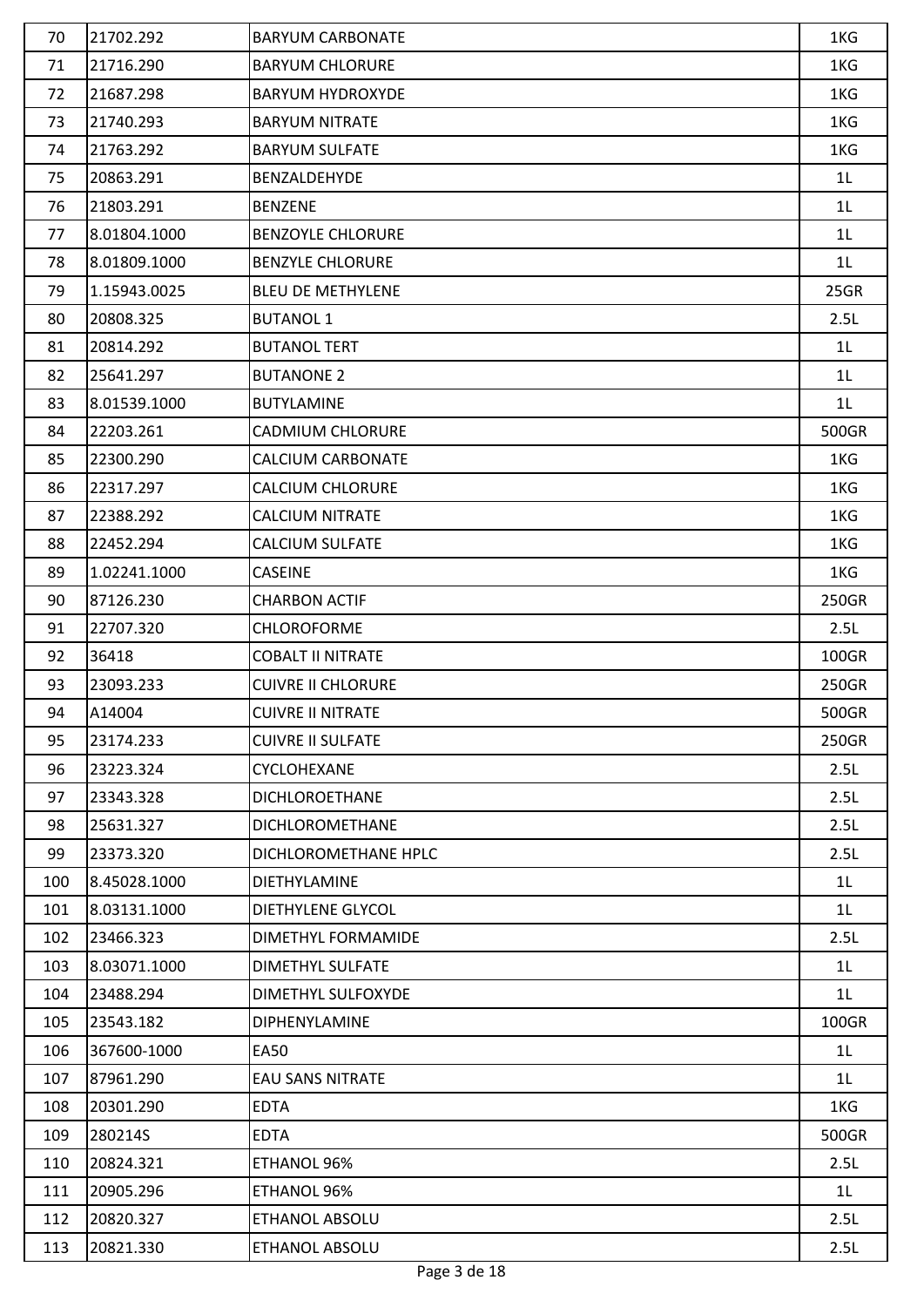| 70  | 21702.292    | <b>BARYUM CARBONATE</b>   | 1KG            |
|-----|--------------|---------------------------|----------------|
| 71  | 21716.290    | <b>BARYUM CHLORURE</b>    | 1KG            |
| 72  | 21687.298    | <b>BARYUM HYDROXYDE</b>   | 1KG            |
| 73  | 21740.293    | <b>BARYUM NITRATE</b>     | 1KG            |
| 74  | 21763.292    | <b>BARYUM SULFATE</b>     | 1KG            |
| 75  | 20863.291    | BENZALDEHYDE              | 1 <sub>L</sub> |
| 76  | 21803.291    | <b>BENZENE</b>            | 1L             |
| 77  | 8.01804.1000 | <b>BENZOYLE CHLORURE</b>  | 1L             |
| 78  | 8.01809.1000 | <b>BENZYLE CHLORURE</b>   | 1L             |
| 79  | 1.15943.0025 | <b>BLEU DE METHYLENE</b>  | 25GR           |
| 80  | 20808.325    | <b>BUTANOL 1</b>          | 2.5L           |
| 81  | 20814.292    | <b>BUTANOL TERT</b>       | 1L             |
| 82  | 25641.297    | <b>BUTANONE 2</b>         | 1L             |
| 83  | 8.01539.1000 | <b>BUTYLAMINE</b>         | 1L             |
| 84  | 22203.261    | <b>CADMIUM CHLORURE</b>   | 500GR          |
| 85  | 22300.290    | <b>CALCIUM CARBONATE</b>  | 1KG            |
| 86  | 22317.297    | <b>CALCIUM CHLORURE</b>   | 1KG            |
| 87  | 22388.292    | <b>CALCIUM NITRATE</b>    | 1KG            |
| 88  | 22452.294    | <b>CALCIUM SULFATE</b>    | 1KG            |
| 89  | 1.02241.1000 | <b>CASEINE</b>            | 1KG            |
| 90  | 87126.230    | <b>CHARBON ACTIF</b>      | 250GR          |
| 91  | 22707.320    | <b>CHLOROFORME</b>        | 2.5L           |
| 92  | 36418        | <b>COBALT II NITRATE</b>  | 100GR          |
| 93  | 23093.233    | <b>CUIVRE II CHLORURE</b> | 250GR          |
| 94  | A14004       | <b>CUIVRE II NITRATE</b>  | 500GR          |
| 95  | 23174.233    | <b>CUIVRE II SULFATE</b>  | 250GR          |
| 96  | 23223.324    | <b>CYCLOHEXANE</b>        | 2.5L           |
| 97  | 23343.328    | <b>DICHLOROETHANE</b>     | 2.5L           |
| 98  | 25631.327    | <b>DICHLOROMETHANE</b>    | 2.5L           |
| 99  | 23373.320    | DICHLOROMETHANE HPLC      | 2.5L           |
| 100 | 8.45028.1000 | <b>DIETHYLAMINE</b>       | 1L             |
| 101 | 8.03131.1000 | <b>DIETHYLENE GLYCOL</b>  | 1 <sub>L</sub> |
| 102 | 23466.323    | DIMETHYL FORMAMIDE        | 2.5L           |
| 103 | 8.03071.1000 | DIMETHYL SULFATE          | 1 <sub>L</sub> |
| 104 | 23488.294    | DIMETHYL SULFOXYDE        | 1 <sub>L</sub> |
| 105 | 23543.182    | <b>DIPHENYLAMINE</b>      | 100GR          |
| 106 | 367600-1000  | <b>EA50</b>               | 1 <sub>L</sub> |
| 107 | 87961.290    | <b>EAU SANS NITRATE</b>   | 1L             |
| 108 | 20301.290    | <b>EDTA</b>               | 1KG            |
| 109 | 280214S      | <b>EDTA</b>               | 500GR          |
| 110 | 20824.321    | ETHANOL 96%               | 2.5L           |
| 111 | 20905.296    | ETHANOL 96%               | 1L             |
| 112 | 20820.327    | ETHANOL ABSOLU            | 2.5L           |
| 113 | 20821.330    | ETHANOL ABSOLU            | 2.5L           |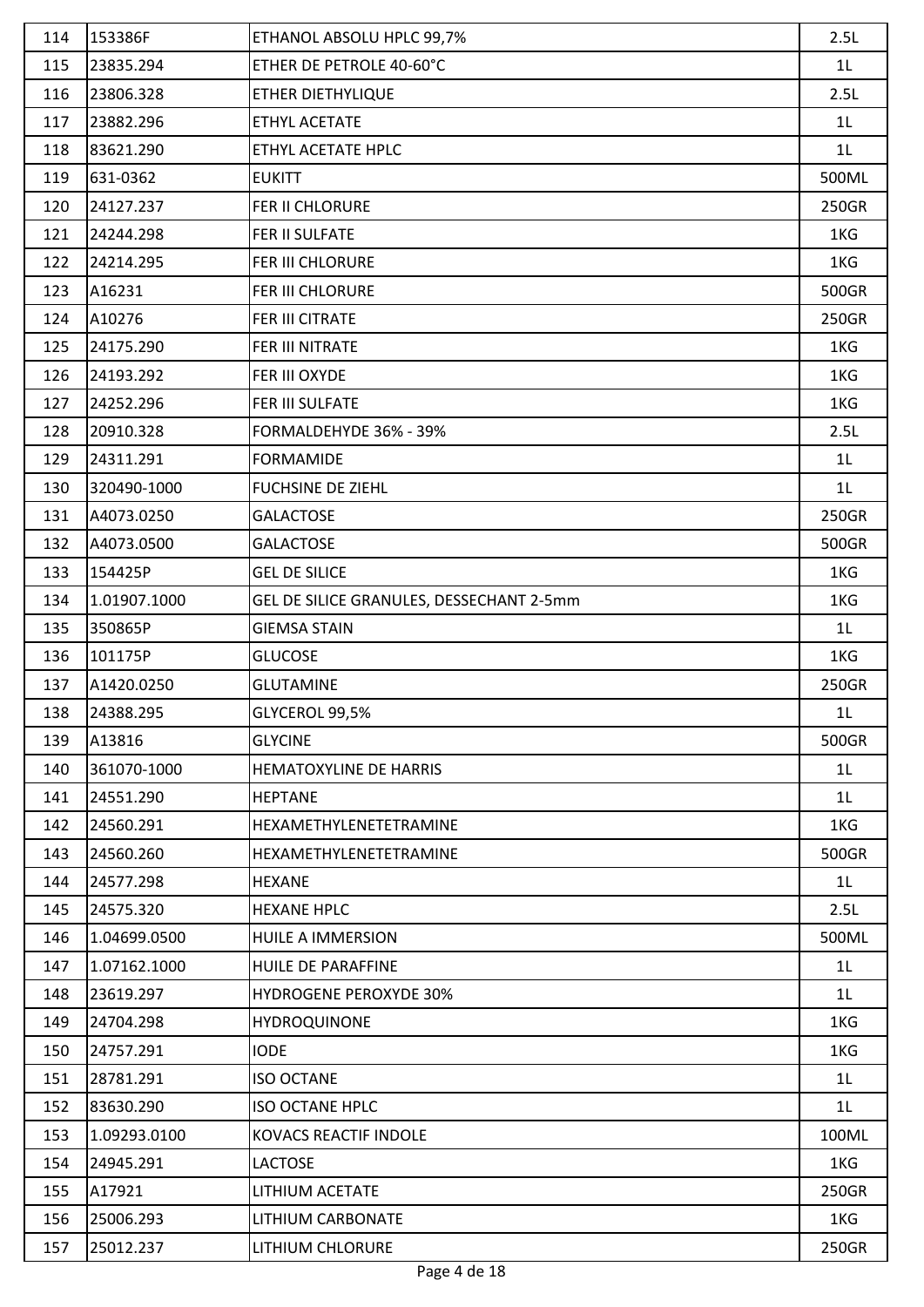| 114 | 153386F      | ETHANOL ABSOLU HPLC 99,7%                | 2.5L           |
|-----|--------------|------------------------------------------|----------------|
| 115 | 23835.294    | ETHER DE PETROLE 40-60°C                 | 1 <sub>L</sub> |
| 116 | 23806.328    | ETHER DIETHYLIQUE                        | 2.5L           |
| 117 | 23882.296    | ETHYL ACETATE                            | 1 <sub>L</sub> |
| 118 | 83621.290    | ETHYL ACETATE HPLC                       | 1 <sub>L</sub> |
| 119 | 631-0362     | <b>EUKITT</b>                            | 500ML          |
| 120 | 24127.237    | FER II CHLORURE                          | 250GR          |
| 121 | 24244.298    | FER II SULFATE                           | 1KG            |
| 122 | 24214.295    | FER III CHLORURE                         | 1KG            |
| 123 | A16231       | FER III CHLORURE                         | 500GR          |
| 124 | A10276       | FER III CITRATE                          | 250GR          |
| 125 | 24175.290    | FER III NITRATE                          | 1KG            |
| 126 | 24193.292    | FER III OXYDE                            | 1KG            |
| 127 | 24252.296    | FER III SULFATE                          | 1KG            |
| 128 | 20910.328    | FORMALDEHYDE 36% - 39%                   | 2.5L           |
| 129 | 24311.291    | <b>FORMAMIDE</b>                         | 1 <sub>L</sub> |
| 130 | 320490-1000  | <b>FUCHSINE DE ZIEHL</b>                 | 1 <sub>L</sub> |
| 131 | A4073.0250   | <b>GALACTOSE</b>                         | 250GR          |
| 132 | A4073.0500   | <b>GALACTOSE</b>                         | 500GR          |
| 133 | 154425P      | <b>GEL DE SILICE</b>                     | 1KG            |
| 134 | 1.01907.1000 | GEL DE SILICE GRANULES, DESSECHANT 2-5mm | 1KG            |
| 135 | 350865P      | <b>GIEMSA STAIN</b>                      | 1 <sub>L</sub> |
| 136 | 101175P      | <b>GLUCOSE</b>                           | 1KG            |
| 137 | A1420.0250   | <b>GLUTAMINE</b>                         | 250GR          |
| 138 | 24388.295    | GLYCEROL 99,5%                           | 1 <sub>L</sub> |
| 139 | A13816       | <b>GLYCINE</b>                           | 500GR          |
| 140 | 361070-1000  | HEMATOXYLINE DE HARRIS                   | 1 <sub>L</sub> |
| 141 | 24551.290    | <b>HEPTANE</b>                           | 1 <sub>L</sub> |
| 142 | 24560.291    | HEXAMETHYLENETETRAMINE                   | 1KG            |
| 143 | 24560.260    | <b>HEXAMETHYLENETETRAMINE</b>            | 500GR          |
| 144 | 24577.298    | <b>HEXANE</b>                            | 1 <sub>L</sub> |
| 145 | 24575.320    | <b>HEXANE HPLC</b>                       | 2.5L           |
| 146 | 1.04699.0500 | HUILE A IMMERSION                        | 500ML          |
| 147 | 1.07162.1000 | HUILE DE PARAFFINE                       | 1 <sub>L</sub> |
| 148 | 23619.297    | <b>HYDROGENE PEROXYDE 30%</b>            | 1L             |
| 149 | 24704.298    | <b>HYDROQUINONE</b>                      | 1KG            |
| 150 | 24757.291    | <b>IODE</b>                              | 1KG            |
| 151 | 28781.291    | <b>ISO OCTANE</b>                        | 1 <sub>L</sub> |
| 152 | 83630.290    | <b>ISO OCTANE HPLC</b>                   | 1L             |
| 153 | 1.09293.0100 | KOVACS REACTIF INDOLE                    | 100ML          |
| 154 | 24945.291    | <b>LACTOSE</b>                           | 1KG            |
| 155 | A17921       | LITHIUM ACETATE                          | 250GR          |
| 156 | 25006.293    | LITHIUM CARBONATE                        | 1KG            |
| 157 | 25012.237    | LITHIUM CHLORURE                         | 250GR          |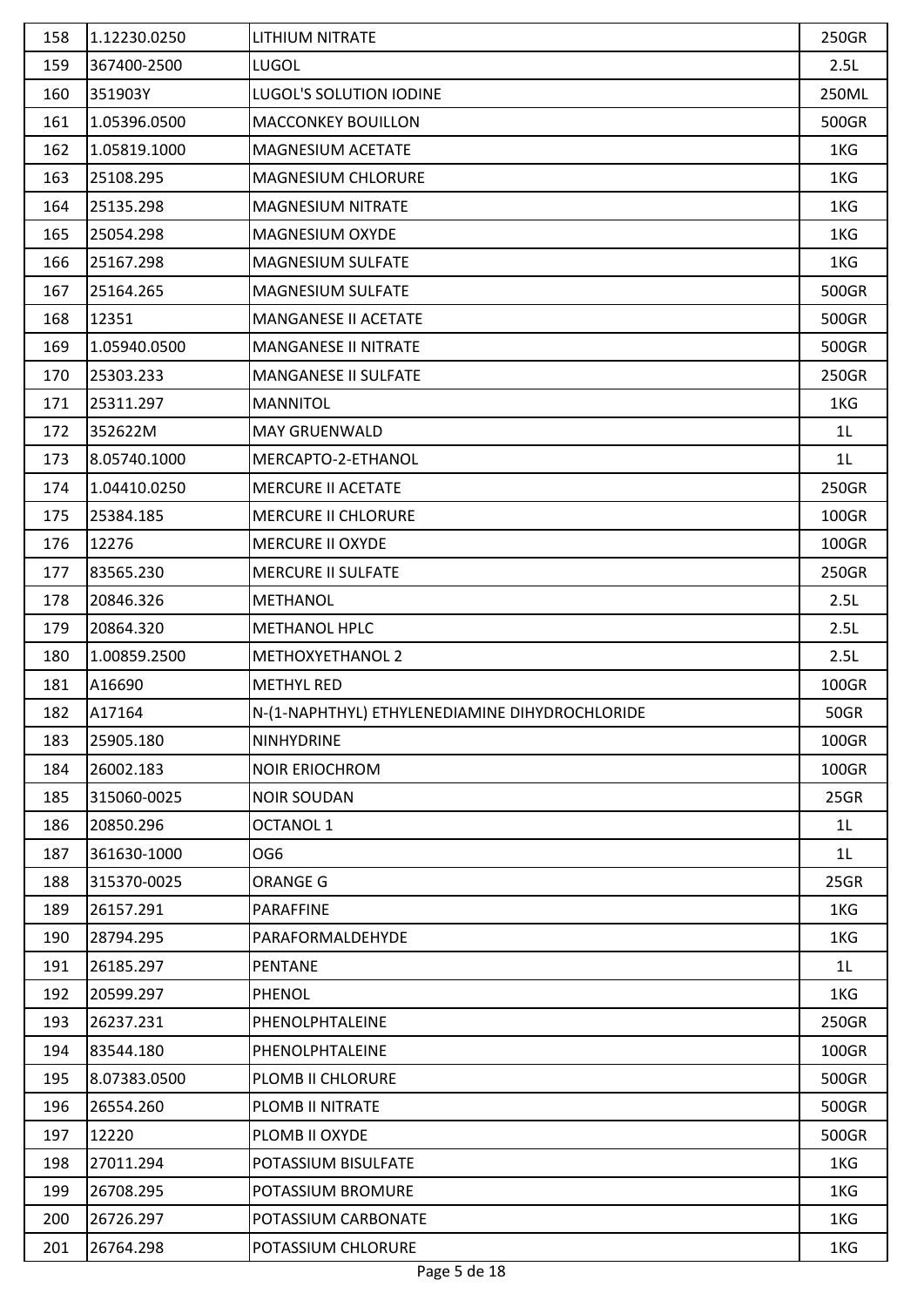| 158 | 1.12230.0250 | LITHIUM NITRATE                                | 250GR          |
|-----|--------------|------------------------------------------------|----------------|
| 159 | 367400-2500  | <b>LUGOL</b>                                   | 2.5L           |
| 160 | 351903Y      | <b>LUGOL'S SOLUTION IODINE</b>                 | 250ML          |
| 161 | 1.05396.0500 | <b>MACCONKEY BOUILLON</b>                      | 500GR          |
| 162 | 1.05819.1000 | MAGNESIUM ACETATE                              | 1KG            |
| 163 | 25108.295    | MAGNESIUM CHLORURE                             | 1KG            |
| 164 | 25135.298    | MAGNESIUM NITRATE                              | 1KG            |
| 165 | 25054.298    | MAGNESIUM OXYDE                                | 1KG            |
| 166 | 25167.298    | <b>MAGNESIUM SULFATE</b>                       | 1KG            |
| 167 | 25164.265    | <b>MAGNESIUM SULFATE</b>                       | 500GR          |
| 168 | 12351        | MANGANESE II ACETATE                           | 500GR          |
| 169 | 1.05940.0500 | <b>MANGANESE II NITRATE</b>                    | 500GR          |
| 170 | 25303.233    | <b>MANGANESE II SULFATE</b>                    | 250GR          |
| 171 | 25311.297    | <b>MANNITOL</b>                                | 1KG            |
| 172 | 352622M      | <b>MAY GRUENWALD</b>                           | 1 <sub>L</sub> |
| 173 | 8.05740.1000 | MERCAPTO-2-ETHANOL                             | 1 <sub>L</sub> |
| 174 | 1.04410.0250 | <b>MERCURE II ACETATE</b>                      | 250GR          |
| 175 | 25384.185    | <b>MERCURE II CHLORURE</b>                     | 100GR          |
| 176 | 12276        | <b>MERCURE II OXYDE</b>                        | 100GR          |
| 177 | 83565.230    | <b>MERCURE II SULFATE</b>                      | 250GR          |
| 178 | 20846.326    | <b>METHANOL</b>                                | 2.5L           |
| 179 | 20864.320    | <b>METHANOL HPLC</b>                           | 2.5L           |
| 180 | 1.00859.2500 | <b>METHOXYETHANOL 2</b>                        | 2.5L           |
| 181 | A16690       | <b>METHYL RED</b>                              | 100GR          |
| 182 | A17164       | N-(1-NAPHTHYL) ETHYLENEDIAMINE DIHYDROCHLORIDE | <b>50GR</b>    |
| 183 | 25905.180    | <b>NINHYDRINE</b>                              | 100GR          |
| 184 | 26002.183    | <b>NOIR ERIOCHROM</b>                          | 100GR          |
| 185 | 315060-0025  | <b>NOIR SOUDAN</b>                             | 25GR           |
| 186 | 20850.296    | <b>OCTANOL 1</b>                               | 1 <sub>L</sub> |
| 187 | 361630-1000  | OG6                                            | 1 <sub>L</sub> |
| 188 | 315370-0025  | <b>ORANGE G</b>                                | 25GR           |
| 189 | 26157.291    | <b>PARAFFINE</b>                               | 1KG            |
| 190 | 28794.295    | PARAFORMALDEHYDE                               | 1KG            |
| 191 | 26185.297    | <b>PENTANE</b>                                 | 1L             |
| 192 | 20599.297    | <b>PHENOL</b>                                  | 1KG            |
| 193 | 26237.231    | PHENOLPHTALEINE                                | 250GR          |
| 194 | 83544.180    | PHENOLPHTALEINE                                | 100GR          |
| 195 | 8.07383.0500 | PLOMB II CHLORURE                              | 500GR          |
| 196 | 26554.260    | PLOMB II NITRATE                               | 500GR          |
| 197 | 12220        | PLOMB II OXYDE                                 | 500GR          |
| 198 | 27011.294    | POTASSIUM BISULFATE                            | 1KG            |
| 199 | 26708.295    | POTASSIUM BROMURE                              | 1KG            |
| 200 | 26726.297    | POTASSIUM CARBONATE                            | 1KG            |
| 201 | 26764.298    | POTASSIUM CHLORURE                             | 1KG            |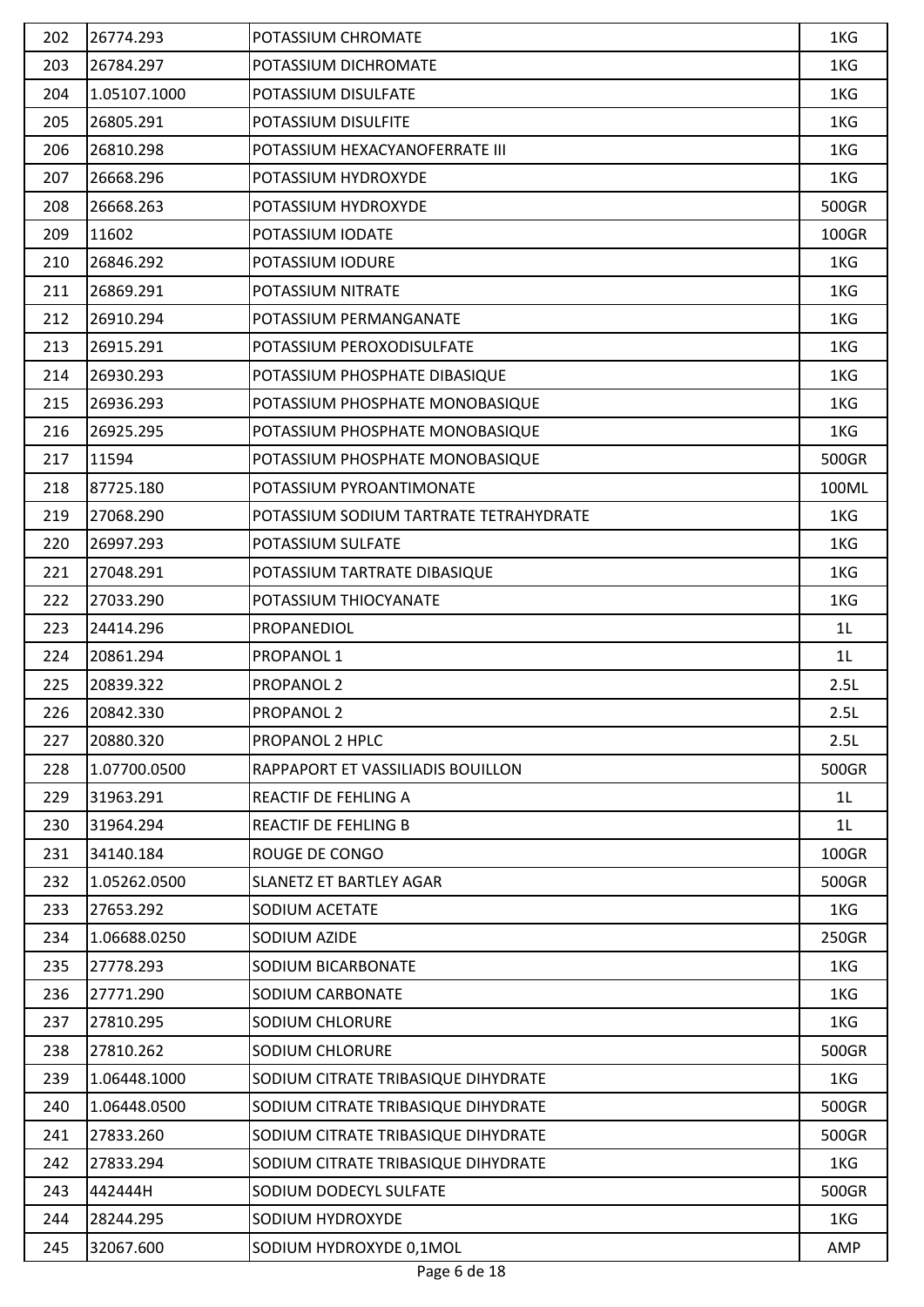| 202 | 26774.293    | POTASSIUM CHROMATE                     | 1KG            |
|-----|--------------|----------------------------------------|----------------|
| 203 | 26784.297    | POTASSIUM DICHROMATE                   | 1KG            |
| 204 | 1.05107.1000 | POTASSIUM DISULFATE                    | 1KG            |
| 205 | 26805.291    | POTASSIUM DISULFITE                    | 1KG            |
| 206 | 26810.298    | POTASSIUM HEXACYANOFERRATE III         | 1KG            |
| 207 | 26668.296    | POTASSIUM HYDROXYDE                    | 1KG            |
| 208 | 26668.263    | POTASSIUM HYDROXYDE                    | 500GR          |
| 209 | 11602        | POTASSIUM IODATE                       | 100GR          |
| 210 | 26846.292    | POTASSIUM IODURE                       | 1KG            |
| 211 | 26869.291    | POTASSIUM NITRATE                      | 1KG            |
| 212 | 26910.294    | POTASSIUM PERMANGANATE                 | 1KG            |
| 213 | 26915.291    | POTASSIUM PEROXODISULFATE              | 1KG            |
| 214 | 26930.293    | POTASSIUM PHOSPHATE DIBASIQUE          | 1KG            |
| 215 | 26936.293    | POTASSIUM PHOSPHATE MONOBASIQUE        | 1KG            |
| 216 | 26925.295    | POTASSIUM PHOSPHATE MONOBASIQUE        | 1KG            |
| 217 | 11594        | POTASSIUM PHOSPHATE MONOBASIQUE        | 500GR          |
| 218 | 87725.180    | POTASSIUM PYROANTIMONATE               | 100ML          |
| 219 | 27068.290    | POTASSIUM SODIUM TARTRATE TETRAHYDRATE | 1KG            |
| 220 | 26997.293    | POTASSIUM SULFATE                      | 1KG            |
| 221 | 27048.291    | POTASSIUM TARTRATE DIBASIQUE           | 1KG            |
| 222 | 27033.290    | POTASSIUM THIOCYANATE                  | 1KG            |
| 223 | 24414.296    | PROPANEDIOL                            | 1 <sub>L</sub> |
| 224 | 20861.294    | PROPANOL 1                             | 1 <sub>L</sub> |
| 225 | 20839.322    | <b>PROPANOL 2</b>                      | 2.5L           |
| 226 | 20842.330    | <b>PROPANOL 2</b>                      | 2.5L           |
| 227 | 20880.320    | PROPANOL 2 HPLC                        | 2.5L           |
| 228 | 1.07700.0500 | RAPPAPORT ET VASSILIADIS BOUILLON      | 500GR          |
| 229 | 31963.291    | <b>REACTIF DE FEHLING A</b>            | 1L             |
| 230 | 31964.294    | <b>REACTIF DE FEHLING B</b>            | 1 <sub>L</sub> |
| 231 | 34140.184    | <b>ROUGE DE CONGO</b>                  | 100GR          |
| 232 | 1.05262.0500 | <b>SLANETZ ET BARTLEY AGAR</b>         | 500GR          |
| 233 | 27653.292    | SODIUM ACETATE                         | 1KG            |
| 234 | 1.06688.0250 | SODIUM AZIDE                           | 250GR          |
| 235 | 27778.293    | SODIUM BICARBONATE                     | 1KG            |
| 236 | 27771.290    | SODIUM CARBONATE                       | 1KG            |
| 237 | 27810.295    | <b>SODIUM CHLORURE</b>                 | 1KG            |
| 238 | 27810.262    | SODIUM CHLORURE                        | 500GR          |
| 239 | 1.06448.1000 | SODIUM CITRATE TRIBASIQUE DIHYDRATE    | 1KG            |
| 240 | 1.06448.0500 | SODIUM CITRATE TRIBASIQUE DIHYDRATE    | 500GR          |
| 241 | 27833.260    | SODIUM CITRATE TRIBASIQUE DIHYDRATE    | 500GR          |
| 242 | 27833.294    | SODIUM CITRATE TRIBASIQUE DIHYDRATE    | 1KG            |
| 243 | 442444H      | SODIUM DODECYL SULFATE                 | 500GR          |
| 244 | 28244.295    | SODIUM HYDROXYDE                       | 1KG            |
|     |              |                                        |                |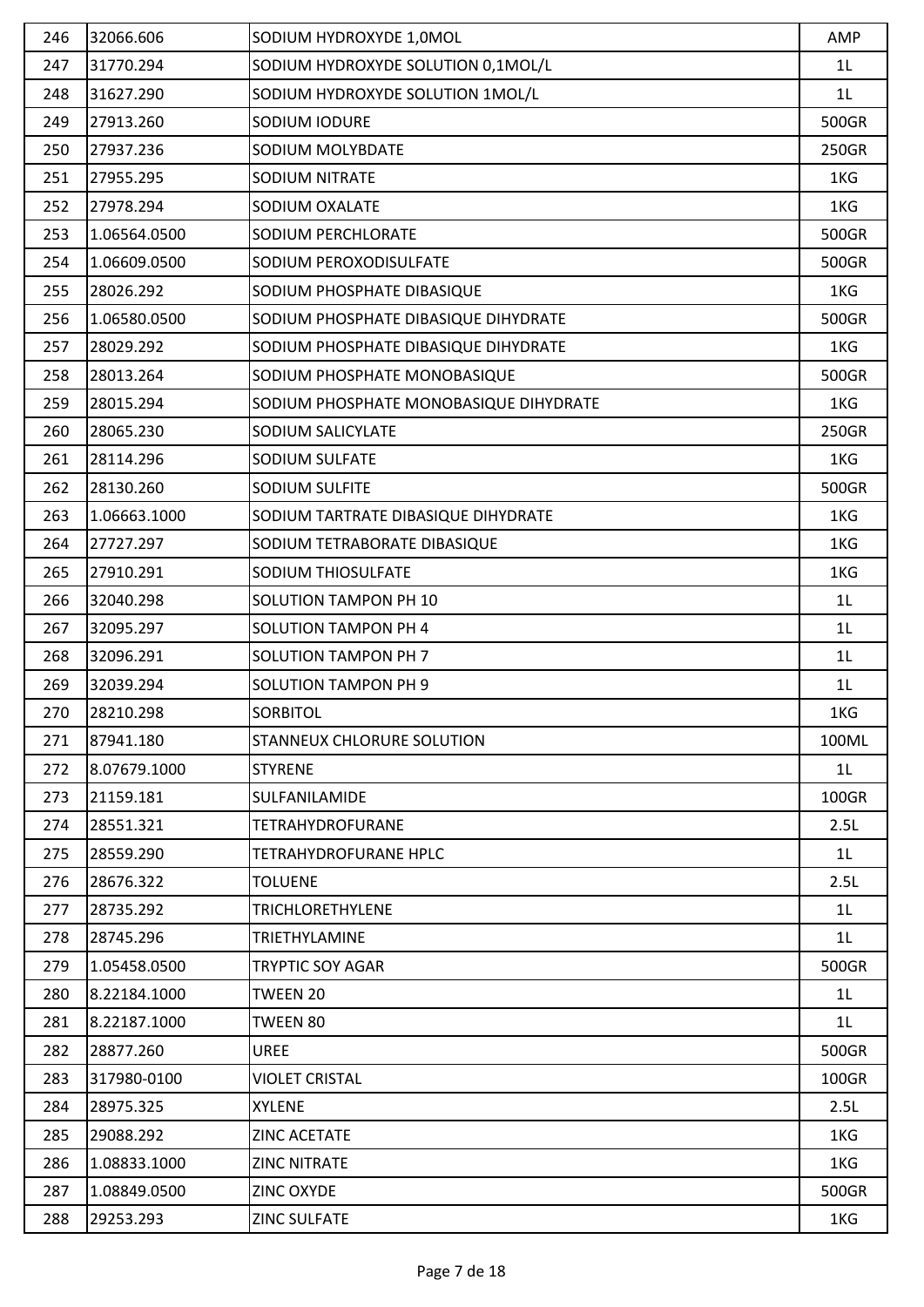| 246 | 32066.606    | SODIUM HYDROXYDE 1,0MOL                | AMP            |
|-----|--------------|----------------------------------------|----------------|
| 247 | 31770.294    | SODIUM HYDROXYDE SOLUTION 0,1MOL/L     | 1L             |
| 248 | 31627.290    | SODIUM HYDROXYDE SOLUTION 1MOL/L       | 1L             |
| 249 | 27913.260    | SODIUM IODURE                          | 500GR          |
| 250 | 27937.236    | SODIUM MOLYBDATE                       | 250GR          |
| 251 | 27955.295    | SODIUM NITRATE                         | 1KG            |
| 252 | 27978.294    | SODIUM OXALATE                         | 1KG            |
| 253 | 1.06564.0500 | SODIUM PERCHLORATE                     | 500GR          |
| 254 | 1.06609.0500 | SODIUM PEROXODISULFATE                 | 500GR          |
| 255 | 28026.292    | SODIUM PHOSPHATE DIBASIQUE             | 1KG            |
| 256 | 1.06580.0500 | SODIUM PHOSPHATE DIBASIQUE DIHYDRATE   | 500GR          |
| 257 | 28029.292    | SODIUM PHOSPHATE DIBASIQUE DIHYDRATE   | 1KG            |
| 258 | 28013.264    | SODIUM PHOSPHATE MONOBASIQUE           | 500GR          |
| 259 | 28015.294    | SODIUM PHOSPHATE MONOBASIQUE DIHYDRATE | 1KG            |
| 260 | 28065.230    | SODIUM SALICYLATE                      | 250GR          |
| 261 | 28114.296    | SODIUM SULFATE                         | 1KG            |
| 262 | 28130.260    | SODIUM SULFITE                         | 500GR          |
| 263 | 1.06663.1000 | SODIUM TARTRATE DIBASIQUE DIHYDRATE    | 1KG            |
| 264 | 27727.297    | SODIUM TETRABORATE DIBASIQUE           | 1KG            |
| 265 | 27910.291    | SODIUM THIOSULFATE                     | 1KG            |
| 266 | 32040.298    | <b>SOLUTION TAMPON PH 10</b>           | 1L             |
| 267 | 32095.297    | <b>SOLUTION TAMPON PH 4</b>            | 1L             |
| 268 | 32096.291    | <b>SOLUTION TAMPON PH 7</b>            | 1L             |
| 269 | 32039.294    | <b>SOLUTION TAMPON PH 9</b>            | 1L             |
| 270 | 28210.298    | <b>SORBITOL</b>                        | 1KG            |
| 271 | 87941.180    | STANNEUX CHLORURE SOLUTION             | 100ML          |
| 272 | 8.07679.1000 | <b>STYRENE</b>                         | 1L             |
| 273 | 21159.181    | SULFANILAMIDE                          | 100GR          |
| 274 | 28551.321    | TETRAHYDROFURANE                       | 2.5L           |
| 275 | 28559.290    | TETRAHYDROFURANE HPLC                  | 1 <sub>L</sub> |
| 276 | 28676.322    | TOLUENE                                | 2.5L           |
| 277 | 28735.292    | <b>TRICHLORETHYLENE</b>                | 1 <sub>L</sub> |
| 278 | 28745.296    | TRIETHYLAMINE                          | 1 <sub>L</sub> |
| 279 | 1.05458.0500 | <b>TRYPTIC SOY AGAR</b>                | 500GR          |
| 280 | 8.22184.1000 | TWEEN 20                               | 1 <sub>L</sub> |
| 281 | 8.22187.1000 | TWEEN 80                               | 1 <sub>L</sub> |
| 282 | 28877.260    | <b>UREE</b>                            | 500GR          |
| 283 | 317980-0100  | <b>VIOLET CRISTAL</b>                  | 100GR          |
| 284 | 28975.325    | <b>XYLENE</b>                          | 2.5L           |
| 285 | 29088.292    | <b>ZINC ACETATE</b>                    | 1KG            |
| 286 | 1.08833.1000 | <b>ZINC NITRATE</b>                    | 1KG            |
| 287 | 1.08849.0500 | <b>ZINC OXYDE</b>                      | 500GR          |
| 288 | 29253.293    | <b>ZINC SULFATE</b>                    | 1KG            |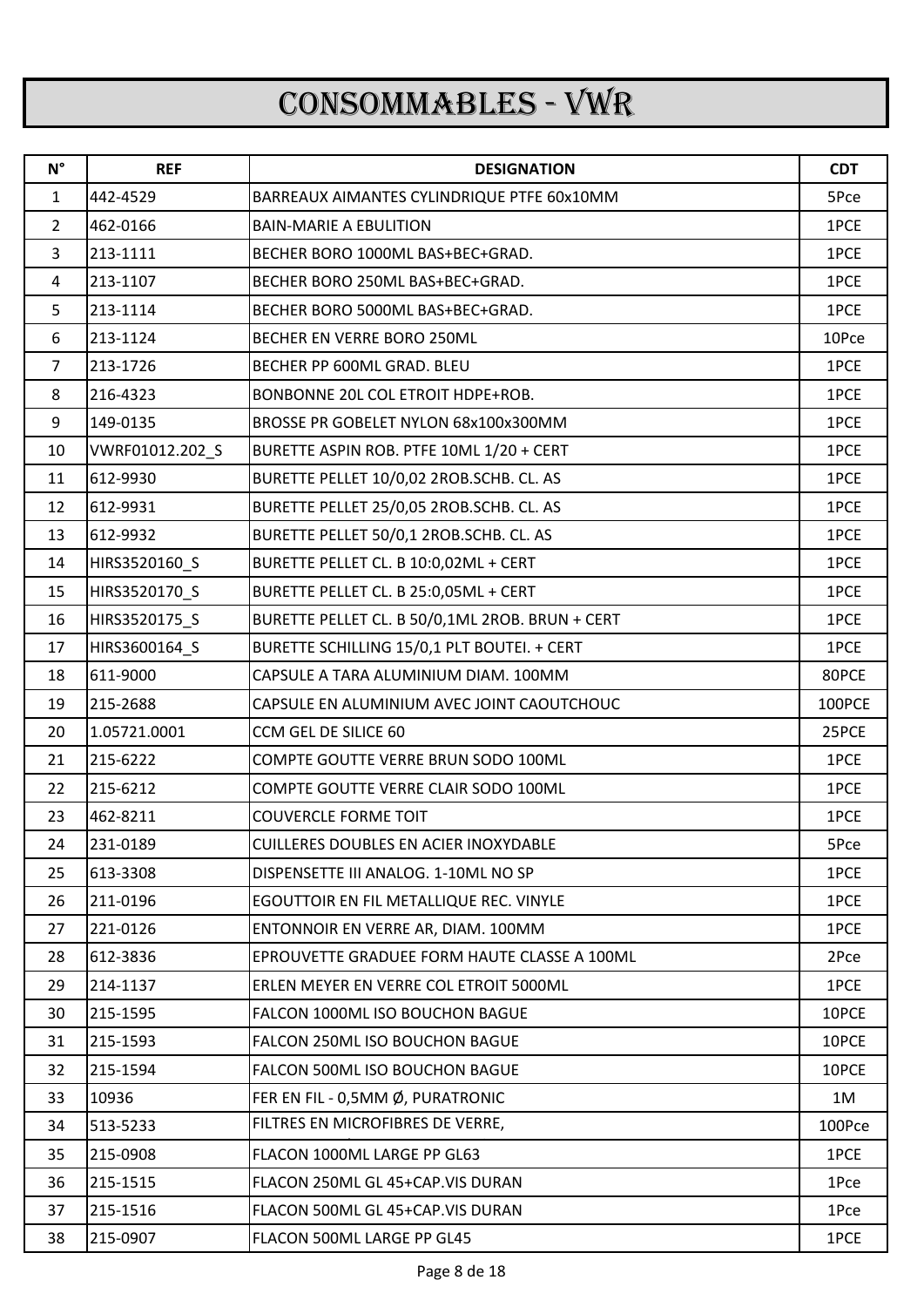## CONSOMMABLES - VWR

| $N^{\circ}$    | <b>REF</b>      | <b>DESIGNATION</b>                              | <b>CDT</b> |
|----------------|-----------------|-------------------------------------------------|------------|
| $\mathbf{1}$   | 442-4529        | BARREAUX AIMANTES CYLINDRIQUE PTFE 60x10MM      | 5Pce       |
| $\overline{2}$ | 462-0166        | <b>BAIN-MARIE A EBULITION</b>                   | 1PCE       |
| 3              | 213-1111        | BECHER BORO 1000ML BAS+BEC+GRAD.                | 1PCE       |
| 4              | 213-1107        | BECHER BORO 250ML BAS+BEC+GRAD.                 | 1PCE       |
| 5              | 213-1114        | BECHER BORO 5000ML BAS+BEC+GRAD.                | 1PCE       |
| 6              | 213-1124        | BECHER EN VERRE BORO 250ML                      | 10Pce      |
| 7              | 213-1726        | BECHER PP 600ML GRAD. BLEU                      | 1PCE       |
| 8              | 216-4323        | BONBONNE 20L COL ETROIT HDPE+ROB.               | 1PCE       |
| 9              | 149-0135        | BROSSE PR GOBELET NYLON 68x100x300MM            | 1PCE       |
| 10             | VWRF01012.202_S | BURETTE ASPIN ROB. PTFE 10ML 1/20 + CERT        | 1PCE       |
| 11             | 612-9930        | BURETTE PELLET 10/0,02 2ROB.SCHB. CL. AS        | 1PCE       |
| 12             | 612-9931        | BURETTE PELLET 25/0,05 2ROB.SCHB. CL. AS        | 1PCE       |
| 13             | 612-9932        | BURETTE PELLET 50/0,1 2ROB.SCHB. CL. AS         | 1PCE       |
| 14             | HIRS3520160_S   | BURETTE PELLET CL. B 10:0,02ML + CERT           | 1PCE       |
| 15             | HIRS3520170 S   | BURETTE PELLET CL. B 25:0,05ML + CERT           | 1PCE       |
| 16             | HIRS3520175_S   | BURETTE PELLET CL. B 50/0,1ML 2ROB. BRUN + CERT | 1PCE       |
| 17             | HIRS3600164_S   | BURETTE SCHILLING 15/0,1 PLT BOUTEI. + CERT     | 1PCE       |
| 18             | 611-9000        | CAPSULE A TARA ALUMINIUM DIAM. 100MM            | 80PCE      |
| 19             | 215-2688        | CAPSULE EN ALUMINIUM AVEC JOINT CAOUTCHOUC      | 100PCE     |
| 20             | 1.05721.0001    | CCM GEL DE SILICE 60                            | 25PCE      |
| 21             | 215-6222        | COMPTE GOUTTE VERRE BRUN SODO 100ML             | 1PCE       |
| 22             | 215-6212        | COMPTE GOUTTE VERRE CLAIR SODO 100ML            | 1PCE       |
| 23             | 462-8211        | <b>COUVERCLE FORME TOIT</b>                     | 1PCE       |
| 24             | 231-0189        | <b>CUILLERES DOUBLES EN ACIER INOXYDABLE</b>    | 5Pce       |
| 25             | 613-3308        | DISPENSETTE III ANALOG. 1-10ML NO SP            | 1PCE       |
| 26             | 211-0196        | EGOUTTOIR EN FIL METALLIQUE REC. VINYLE         | 1PCE       |
| 27             | 221-0126        | ENTONNOIR EN VERRE AR, DIAM. 100MM              | 1PCE       |
| 28             | 612-3836        | EPROUVETTE GRADUEE FORM HAUTE CLASSE A 100ML    | 2Pce       |
| 29             | 214-1137        | ERLEN MEYER EN VERRE COL ETROIT 5000ML          | 1PCE       |
| 30             | 215-1595        | FALCON 1000ML ISO BOUCHON BAGUE                 | 10PCE      |
| 31             | 215-1593        | FALCON 250ML ISO BOUCHON BAGUE                  | 10PCE      |
| 32             | 215-1594        | FALCON 500ML ISO BOUCHON BAGUE                  | 10PCE      |
| 33             | 10936           | FER EN FIL - 0,5MM Ø, PURATRONIC                | 1M         |
| 34             | 513-5233        | FILTRES EN MICROFIBRES DE VERRE,                | 100Pce     |
| 35             | 215-0908        | FLACON 1000ML LARGE PP GL63                     | 1PCE       |
| 36             | 215-1515        | FLACON 250ML GL 45+CAP.VIS DURAN                | 1Pce       |
| 37             | 215-1516        | FLACON 500ML GL 45+CAP.VIS DURAN                | 1Pce       |
| 38             | 215-0907        | FLACON 500ML LARGE PP GL45                      | 1PCE       |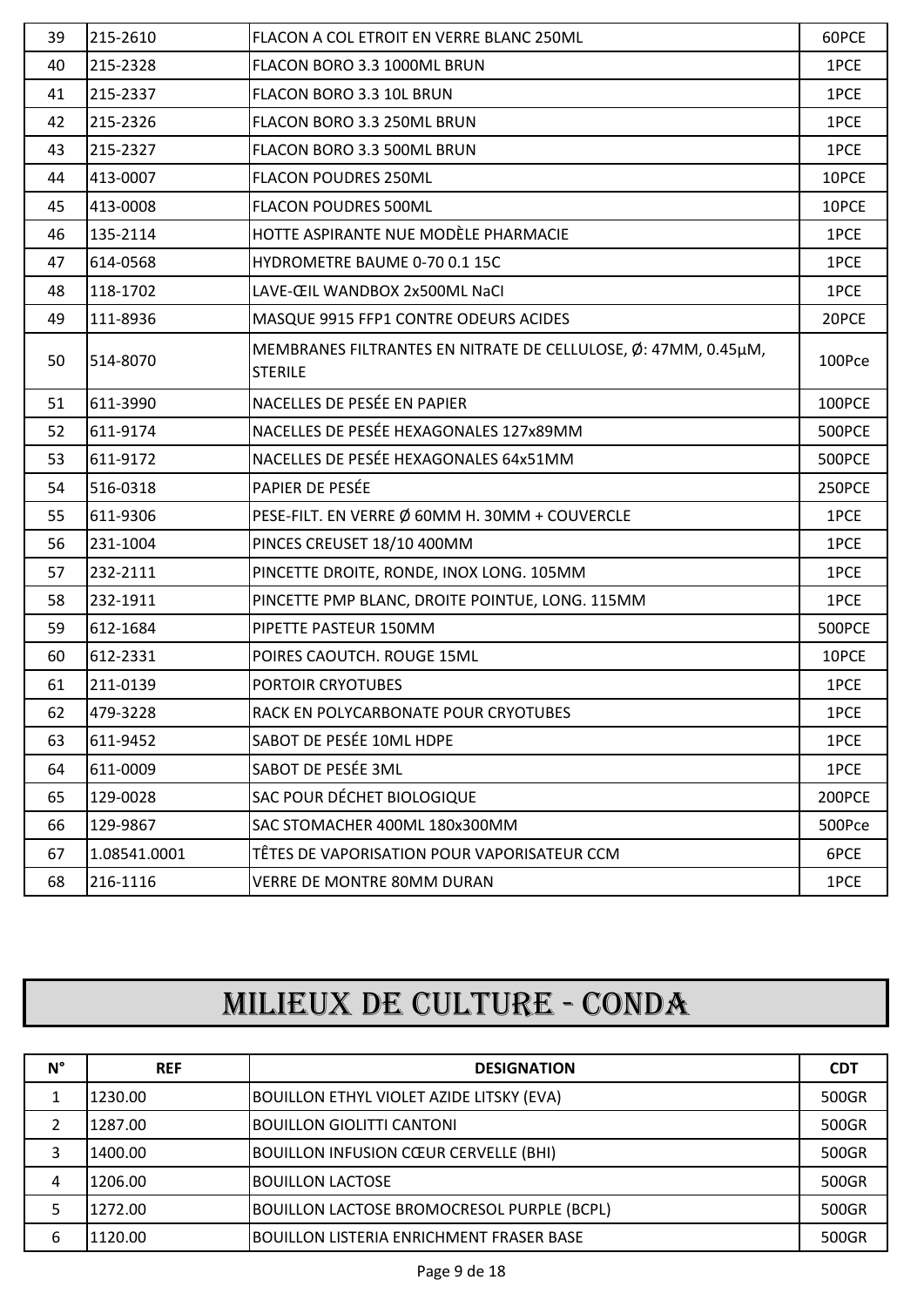| 39 | 215-2610     | FLACON A COL ETROIT EN VERRE BLANC 250ML                                         | 60PCE         |
|----|--------------|----------------------------------------------------------------------------------|---------------|
| 40 | 215-2328     | FLACON BORO 3.3 1000ML BRUN                                                      | 1PCE          |
| 41 | 215-2337     | FLACON BORO 3.3 10L BRUN                                                         | 1PCE          |
| 42 | 215-2326     | FLACON BORO 3.3 250ML BRUN                                                       | 1PCE          |
| 43 | 215-2327     | FLACON BORO 3.3 500ML BRUN                                                       | 1PCE          |
| 44 | 413-0007     | <b>FLACON POUDRES 250ML</b>                                                      | 10PCE         |
| 45 | 413-0008     | <b>FLACON POUDRES 500ML</b>                                                      | 10PCE         |
| 46 | 135-2114     | HOTTE ASPIRANTE NUE MODÈLE PHARMACIE                                             | 1PCE          |
| 47 | 614-0568     | HYDROMETRE BAUME 0-70 0.1 15C                                                    | 1PCE          |
| 48 | 118-1702     | LAVE-ŒIL WANDBOX 2x500ML NaCl                                                    | 1PCE          |
| 49 | 111-8936     | MASQUE 9915 FFP1 CONTRE ODEURS ACIDES                                            | 20PCE         |
| 50 | 514-8070     | MEMBRANES FILTRANTES EN NITRATE DE CELLULOSE, Ø: 47MM, 0.45µM,<br><b>STERILE</b> | 100Pce        |
| 51 | 611-3990     | NACELLES DE PESÉE EN PAPIER                                                      | 100PCE        |
| 52 | 611-9174     | NACELLES DE PESÉE HEXAGONALES 127x89MM                                           | <b>500PCE</b> |
| 53 | 611-9172     | NACELLES DE PESÉE HEXAGONALES 64x51MM                                            | 500PCE        |
| 54 | 516-0318     | PAPIER DE PESÉE                                                                  | 250PCE        |
| 55 | 611-9306     | PESE-FILT. EN VERRE Ø 60MM H. 30MM + COUVERCLE                                   | 1PCE          |
| 56 | 231-1004     | PINCES CREUSET 18/10 400MM                                                       | 1PCE          |
| 57 | 232-2111     | PINCETTE DROITE, RONDE, INOX LONG. 105MM                                         | 1PCE          |
| 58 | 232-1911     | PINCETTE PMP BLANC, DROITE POINTUE, LONG. 115MM                                  | 1PCE          |
| 59 | 612-1684     | PIPETTE PASTEUR 150MM                                                            | <b>500PCE</b> |
| 60 | 612-2331     | POIRES CAOUTCH. ROUGE 15ML                                                       | 10PCE         |
| 61 | 211-0139     | <b>PORTOIR CRYOTUBES</b>                                                         | 1PCE          |
| 62 | 479-3228     | RACK EN POLYCARBONATE POUR CRYOTUBES                                             | 1PCE          |
| 63 | 611-9452     | SABOT DE PESÉE 10ML HDPE                                                         | 1PCE          |
| 64 | 611-0009     | SABOT DE PESÉE 3ML                                                               | 1PCE          |
| 65 | 129-0028     | SAC POUR DÉCHET BIOLOGIQUE                                                       | 200PCE        |
| 66 | 129-9867     | SAC STOMACHER 400ML 180x300MM                                                    | 500Pce        |
| 67 | 1.08541.0001 | TÊTES DE VAPORISATION POUR VAPORISATEUR CCM                                      | 6PCE          |
| 68 | 216-1116     | VERRE DE MONTRE 80MM DURAN                                                       | 1PCE          |

## MILIEUX DE CULTURE - CONDA

| N° | <b>REF</b> | <b>DESIGNATION</b>                                | <b>CDT</b> |
|----|------------|---------------------------------------------------|------------|
|    | 1230.00    | <b>BOUILLON ETHYL VIOLET AZIDE LITSKY (EVA)</b>   | 500GR      |
|    | 1287.00    | <b>BOUILLON GIOLITTI CANTONI</b>                  | 500GR      |
|    | 1400.00    | <b>BOUILLON INFUSION CŒUR CERVELLE (BHI)</b>      | 500GR      |
| 4  | 1206.00    | <b>BOUILLON LACTOSE</b>                           | 500GR      |
|    | 1272.00    | <b>BOUILLON LACTOSE BROMOCRESOL PURPLE (BCPL)</b> | 500GR      |
| 6  | 1120.00    | <b>BOUILLON LISTERIA ENRICHMENT FRASER BASE</b>   | 500GR      |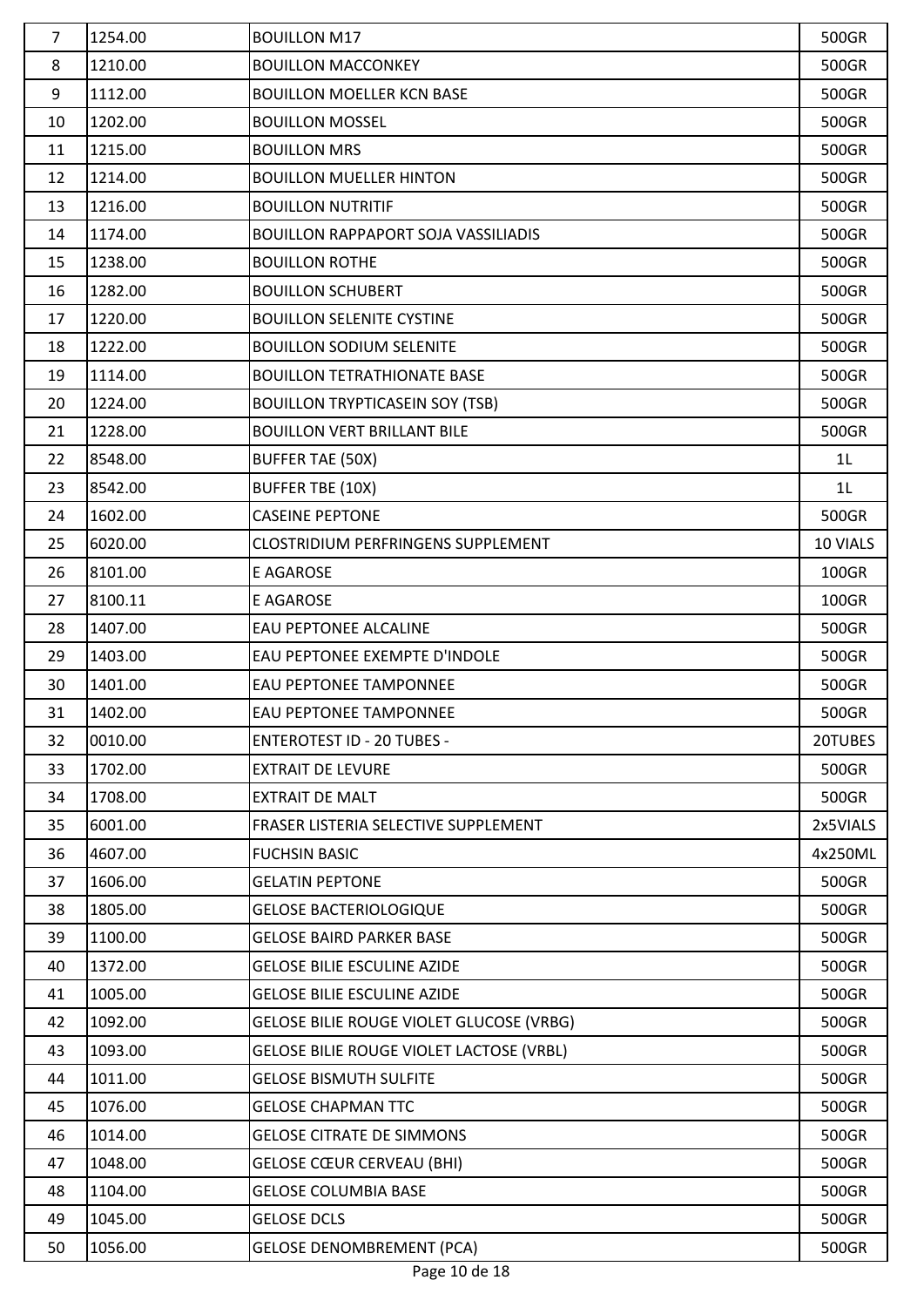| $\overline{7}$ | 1254.00 | <b>BOUILLON M17</b>                             | 500GR          |
|----------------|---------|-------------------------------------------------|----------------|
| 8              | 1210.00 | <b>BOUILLON MACCONKEY</b>                       | 500GR          |
| 9              | 1112.00 | <b>BOUILLON MOELLER KCN BASE</b>                | 500GR          |
| 10             | 1202.00 | <b>BOUILLON MOSSEL</b>                          | 500GR          |
| 11             | 1215.00 | <b>BOUILLON MRS</b>                             | 500GR          |
| 12             | 1214.00 | <b>BOUILLON MUELLER HINTON</b>                  | 500GR          |
| 13             | 1216.00 | <b>BOUILLON NUTRITIF</b>                        | 500GR          |
| 14             | 1174.00 | <b>BOUILLON RAPPAPORT SOJA VASSILIADIS</b>      | 500GR          |
| 15             | 1238.00 | <b>BOUILLON ROTHE</b>                           | 500GR          |
| 16             | 1282.00 | <b>BOUILLON SCHUBERT</b>                        | 500GR          |
| 17             | 1220.00 | <b>BOUILLON SELENITE CYSTINE</b>                | 500GR          |
| 18             | 1222.00 | <b>BOUILLON SODIUM SELENITE</b>                 | 500GR          |
| 19             | 1114.00 | <b>BOUILLON TETRATHIONATE BASE</b>              | 500GR          |
| 20             | 1224.00 | <b>BOUILLON TRYPTICASEIN SOY (TSB)</b>          | 500GR          |
| 21             | 1228.00 | <b>BOUILLON VERT BRILLANT BILE</b>              | 500GR          |
| 22             | 8548.00 | <b>BUFFER TAE (50X)</b>                         | 1L             |
| 23             | 8542.00 | <b>BUFFER TBE (10X)</b>                         | 1 <sub>L</sub> |
| 24             | 1602.00 | <b>CASEINE PEPTONE</b>                          | 500GR          |
| 25             | 6020.00 | <b>CLOSTRIDIUM PERFRINGENS SUPPLEMENT</b>       | 10 VIALS       |
| 26             | 8101.00 | E AGAROSE                                       | 100GR          |
| 27             | 8100.11 | E AGAROSE                                       | 100GR          |
| 28             | 1407.00 | <b>EAU PEPTONEE ALCALINE</b>                    | 500GR          |
| 29             | 1403.00 | EAU PEPTONEE EXEMPTE D'INDOLE                   | 500GR          |
| 30             | 1401.00 | <b>EAU PEPTONEE TAMPONNEE</b>                   | 500GR          |
| 31             | 1402.00 | <b>EAU PEPTONEE TAMPONNEE</b>                   | 500GR          |
| 32             | 0010.00 | <b>ENTEROTEST ID - 20 TUBES -</b>               | 20TUBES        |
| 33             | 1702.00 | <b>EXTRAIT DE LEVURE</b>                        | 500GR          |
| 34             | 1708.00 | <b>EXTRAIT DE MALT</b>                          | 500GR          |
| 35             | 6001.00 | FRASER LISTERIA SELECTIVE SUPPLEMENT            | 2x5VIALS       |
| 36             | 4607.00 | <b>FUCHSIN BASIC</b>                            | 4x250ML        |
| 37             | 1606.00 | <b>GELATIN PEPTONE</b>                          | 500GR          |
| 38             | 1805.00 | <b>GELOSE BACTERIOLOGIQUE</b>                   | 500GR          |
| 39             | 1100.00 | <b>GELOSE BAIRD PARKER BASE</b>                 | 500GR          |
| 40             | 1372.00 | <b>GELOSE BILIE ESCULINE AZIDE</b>              | 500GR          |
| 41             | 1005.00 | <b>GELOSE BILIE ESCULINE AZIDE</b>              | 500GR          |
| 42             | 1092.00 | GELOSE BILIE ROUGE VIOLET GLUCOSE (VRBG)        | 500GR          |
| 43             | 1093.00 | <b>GELOSE BILIE ROUGE VIOLET LACTOSE (VRBL)</b> | 500GR          |
| 44             | 1011.00 | <b>GELOSE BISMUTH SULFITE</b>                   | 500GR          |
| 45             | 1076.00 | <b>GELOSE CHAPMAN TTC</b>                       | 500GR          |
| 46             | 1014.00 | <b>GELOSE CITRATE DE SIMMONS</b>                | 500GR          |
| 47             | 1048.00 | <b>GELOSE CŒUR CERVEAU (BHI)</b>                | 500GR          |
| 48             | 1104.00 | <b>GELOSE COLUMBIA BASE</b>                     | 500GR          |
| 49             | 1045.00 | <b>GELOSE DCLS</b>                              | 500GR          |
| 50             | 1056.00 | <b>GELOSE DENOMBREMENT (PCA)</b>                | 500GR          |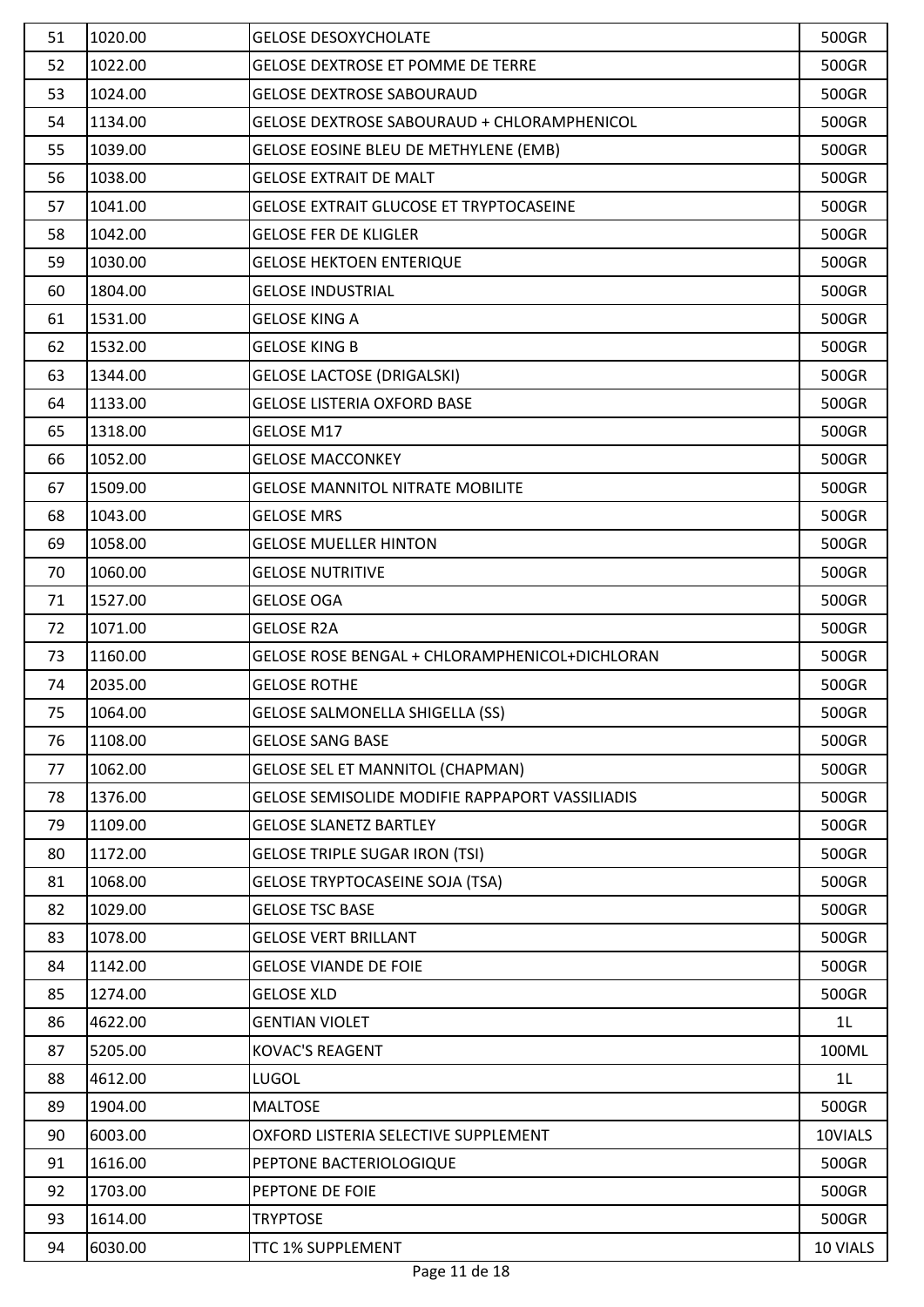| 51 | 1020.00 | <b>GELOSE DESOXYCHOLATE</b>                            | 500GR          |
|----|---------|--------------------------------------------------------|----------------|
| 52 | 1022.00 | <b>GELOSE DEXTROSE ET POMME DE TERRE</b>               | 500GR          |
| 53 | 1024.00 | <b>GELOSE DEXTROSE SABOURAUD</b>                       | 500GR          |
| 54 | 1134.00 | GELOSE DEXTROSE SABOURAUD + CHLORAMPHENICOL            | 500GR          |
| 55 | 1039.00 | GELOSE EOSINE BLEU DE METHYLENE (EMB)                  | 500GR          |
| 56 | 1038.00 | <b>GELOSE EXTRAIT DE MALT</b>                          | 500GR          |
| 57 | 1041.00 | GELOSE EXTRAIT GLUCOSE ET TRYPTOCASEINE                | 500GR          |
| 58 | 1042.00 | <b>GELOSE FER DE KLIGLER</b>                           | 500GR          |
| 59 | 1030.00 | <b>GELOSE HEKTOEN ENTERIQUE</b>                        | 500GR          |
| 60 | 1804.00 | <b>GELOSE INDUSTRIAL</b>                               | 500GR          |
| 61 | 1531.00 | <b>GELOSE KING A</b>                                   | 500GR          |
| 62 | 1532.00 | <b>GELOSE KING B</b>                                   | 500GR          |
| 63 | 1344.00 | <b>GELOSE LACTOSE (DRIGALSKI)</b>                      | 500GR          |
| 64 | 1133.00 | <b>GELOSE LISTERIA OXFORD BASE</b>                     | 500GR          |
| 65 | 1318.00 | GELOSE M17                                             | 500GR          |
| 66 | 1052.00 | <b>GELOSE MACCONKEY</b>                                | 500GR          |
| 67 | 1509.00 | <b>GELOSE MANNITOL NITRATE MOBILITE</b>                | 500GR          |
| 68 | 1043.00 | <b>GELOSE MRS</b>                                      | 500GR          |
| 69 | 1058.00 | <b>GELOSE MUELLER HINTON</b>                           | 500GR          |
| 70 | 1060.00 | <b>GELOSE NUTRITIVE</b>                                | 500GR          |
| 71 | 1527.00 | <b>GELOSE OGA</b>                                      | 500GR          |
| 72 | 1071.00 | <b>GELOSE R2A</b>                                      | 500GR          |
| 73 | 1160.00 | GELOSE ROSE BENGAL + CHLORAMPHENICOL+DICHLORAN         | 500GR          |
| 74 | 2035.00 | <b>GELOSE ROTHE</b>                                    | 500GR          |
| 75 | 1064.00 | <b>GELOSE SALMONELLA SHIGELLA (SS)</b>                 | 500GR          |
| 76 | 1108.00 | <b>GELOSE SANG BASE</b>                                | 500GR          |
| 77 | 1062.00 | <b>GELOSE SEL ET MANNITOL (CHAPMAN)</b>                | 500GR          |
| 78 | 1376.00 | <b>GELOSE SEMISOLIDE MODIFIE RAPPAPORT VASSILIADIS</b> | 500GR          |
| 79 | 1109.00 | <b>GELOSE SLANETZ BARTLEY</b>                          | 500GR          |
| 80 | 1172.00 | <b>GELOSE TRIPLE SUGAR IRON (TSI)</b>                  | 500GR          |
| 81 | 1068.00 | <b>GELOSE TRYPTOCASEINE SOJA (TSA)</b>                 | 500GR          |
| 82 | 1029.00 | <b>GELOSE TSC BASE</b>                                 | 500GR          |
| 83 | 1078.00 | <b>GELOSE VERT BRILLANT</b>                            | 500GR          |
| 84 | 1142.00 | <b>GELOSE VIANDE DE FOIE</b>                           | 500GR          |
| 85 | 1274.00 | <b>GELOSE XLD</b>                                      | 500GR          |
| 86 | 4622.00 | <b>GENTIAN VIOLET</b>                                  | 1 <sub>L</sub> |
| 87 | 5205.00 | <b>KOVAC'S REAGENT</b>                                 | 100ML          |
| 88 | 4612.00 | <b>LUGOL</b>                                           | 1 <sub>L</sub> |
| 89 | 1904.00 | <b>MALTOSE</b>                                         | 500GR          |
| 90 | 6003.00 | OXFORD LISTERIA SELECTIVE SUPPLEMENT                   | 10VIALS        |
| 91 | 1616.00 | PEPTONE BACTERIOLOGIQUE                                | 500GR          |
| 92 | 1703.00 | PEPTONE DE FOIE                                        | 500GR          |
| 93 | 1614.00 | <b>TRYPTOSE</b>                                        | 500GR          |
| 94 | 6030.00 | TTC 1% SUPPLEMENT                                      | 10 VIALS       |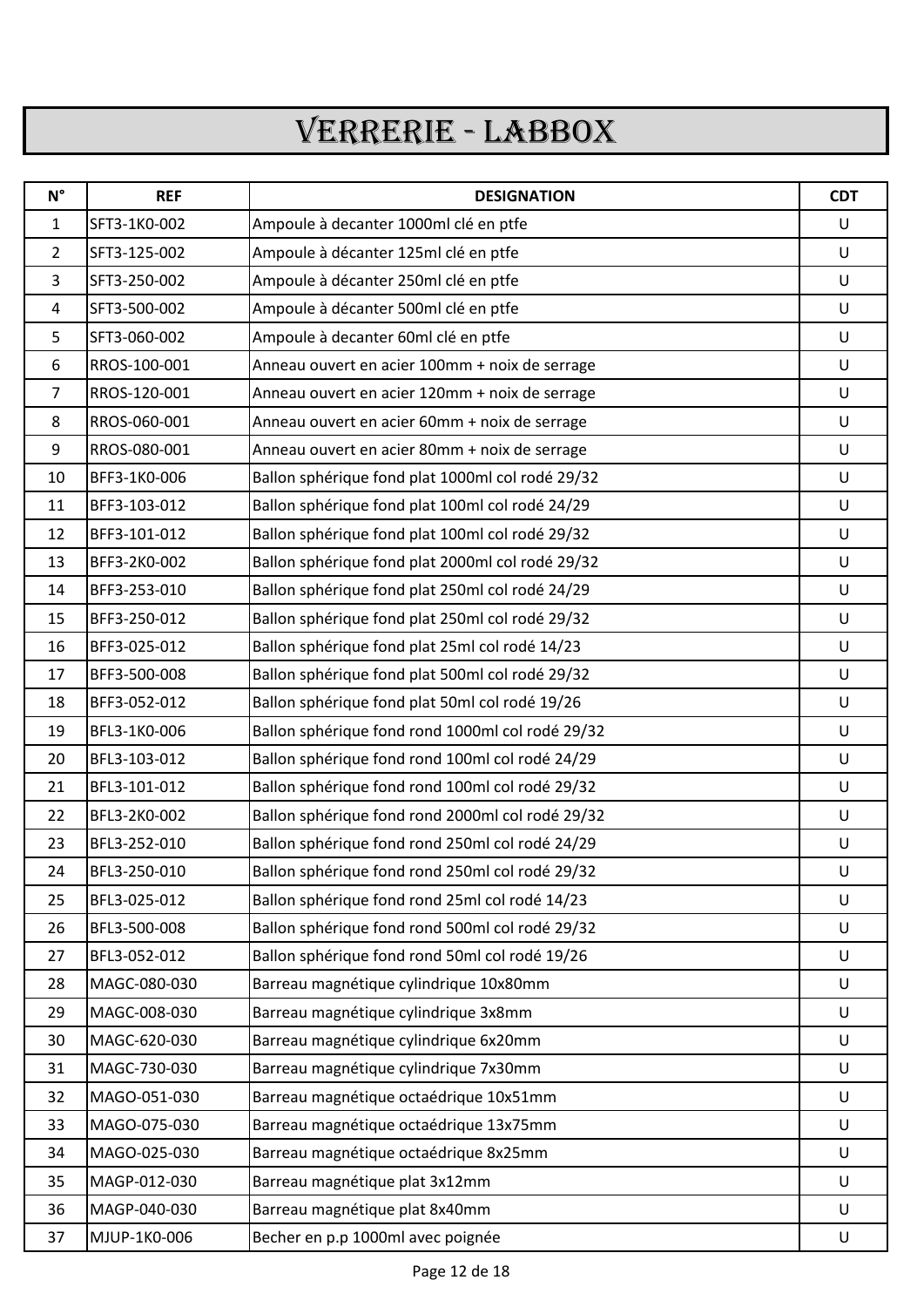## VERRERIE - LABBOX

| $N^{\circ}$    | <b>REF</b>   | <b>DESIGNATION</b>                               | <b>CDT</b> |
|----------------|--------------|--------------------------------------------------|------------|
| $\mathbf{1}$   | SFT3-1K0-002 | Ampoule à decanter 1000ml clé en ptfe            | $\cup$     |
| $2^{\circ}$    | SFT3-125-002 | Ampoule à décanter 125ml clé en ptfe             | $\cup$     |
| 3              | SFT3-250-002 | Ampoule à décanter 250ml clé en ptfe             | $\cup$     |
| 4              | SFT3-500-002 | Ampoule à décanter 500ml clé en ptfe             | $\cup$     |
| 5              | SFT3-060-002 | Ampoule à decanter 60ml clé en ptfe              | $\cup$     |
| 6              | RROS-100-001 | Anneau ouvert en acier 100mm + noix de serrage   | $\cup$     |
| $\overline{7}$ | RROS-120-001 | Anneau ouvert en acier 120mm + noix de serrage   | $\cup$     |
| 8              | RROS-060-001 | Anneau ouvert en acier 60mm + noix de serrage    | U          |
| 9              | RROS-080-001 | Anneau ouvert en acier 80mm + noix de serrage    | U          |
| 10             | BFF3-1K0-006 | Ballon sphérique fond plat 1000ml col rodé 29/32 | $\cup$     |
| 11             | BFF3-103-012 | Ballon sphérique fond plat 100ml col rodé 24/29  | $\cup$     |
| 12             | BFF3-101-012 | Ballon sphérique fond plat 100ml col rodé 29/32  | $\cup$     |
| 13             | BFF3-2K0-002 | Ballon sphérique fond plat 2000ml col rodé 29/32 | $\cup$     |
| 14             | BFF3-253-010 | Ballon sphérique fond plat 250ml col rodé 24/29  | $\cup$     |
| 15             | BFF3-250-012 | Ballon sphérique fond plat 250ml col rodé 29/32  | $\cup$     |
| 16             | BFF3-025-012 | Ballon sphérique fond plat 25ml col rodé 14/23   | U          |
| 17             | BFF3-500-008 | Ballon sphérique fond plat 500ml col rodé 29/32  | U          |
| 18             | BFF3-052-012 | Ballon sphérique fond plat 50ml col rodé 19/26   | U          |
| 19             | BFL3-1K0-006 | Ballon sphérique fond rond 1000ml col rodé 29/32 | $\cup$     |
| 20             | BFL3-103-012 | Ballon sphérique fond rond 100ml col rodé 24/29  | $\cup$     |
| 21             | BFL3-101-012 | Ballon sphérique fond rond 100ml col rodé 29/32  | U          |
| 22             | BFL3-2K0-002 | Ballon sphérique fond rond 2000ml col rodé 29/32 | U          |
| 23             | BFL3-252-010 | Ballon sphérique fond rond 250ml col rodé 24/29  | U          |
| 24             | BFL3-250-010 | Ballon sphérique fond rond 250ml col rodé 29/32  | U          |
| 25             | BFL3-025-012 | Ballon sphérique fond rond 25ml col rodé 14/23   | U          |
| 26             | BFL3-500-008 | Ballon sphérique fond rond 500ml col rodé 29/32  | U          |
| 27             | BFL3-052-012 | Ballon sphérique fond rond 50ml col rodé 19/26   | U          |
| 28             | MAGC-080-030 | Barreau magnétique cylindrique 10x80mm           | U          |
| 29             | MAGC-008-030 | Barreau magnétique cylindrique 3x8mm             | U          |
| 30             | MAGC-620-030 | Barreau magnétique cylindrique 6x20mm            | U          |
| 31             | MAGC-730-030 | Barreau magnétique cylindrique 7x30mm            | U          |
| 32             | MAGO-051-030 | Barreau magnétique octaédrique 10x51mm           | U          |
| 33             | MAGO-075-030 | Barreau magnétique octaédrique 13x75mm           | U          |
| 34             | MAGO-025-030 | Barreau magnétique octaédrique 8x25mm            | U          |
| 35             | MAGP-012-030 | Barreau magnétique plat 3x12mm                   | U          |
| 36             | MAGP-040-030 | Barreau magnétique plat 8x40mm                   | U          |
| 37             | MJUP-1K0-006 | Becher en p.p 1000ml avec poignée                | U          |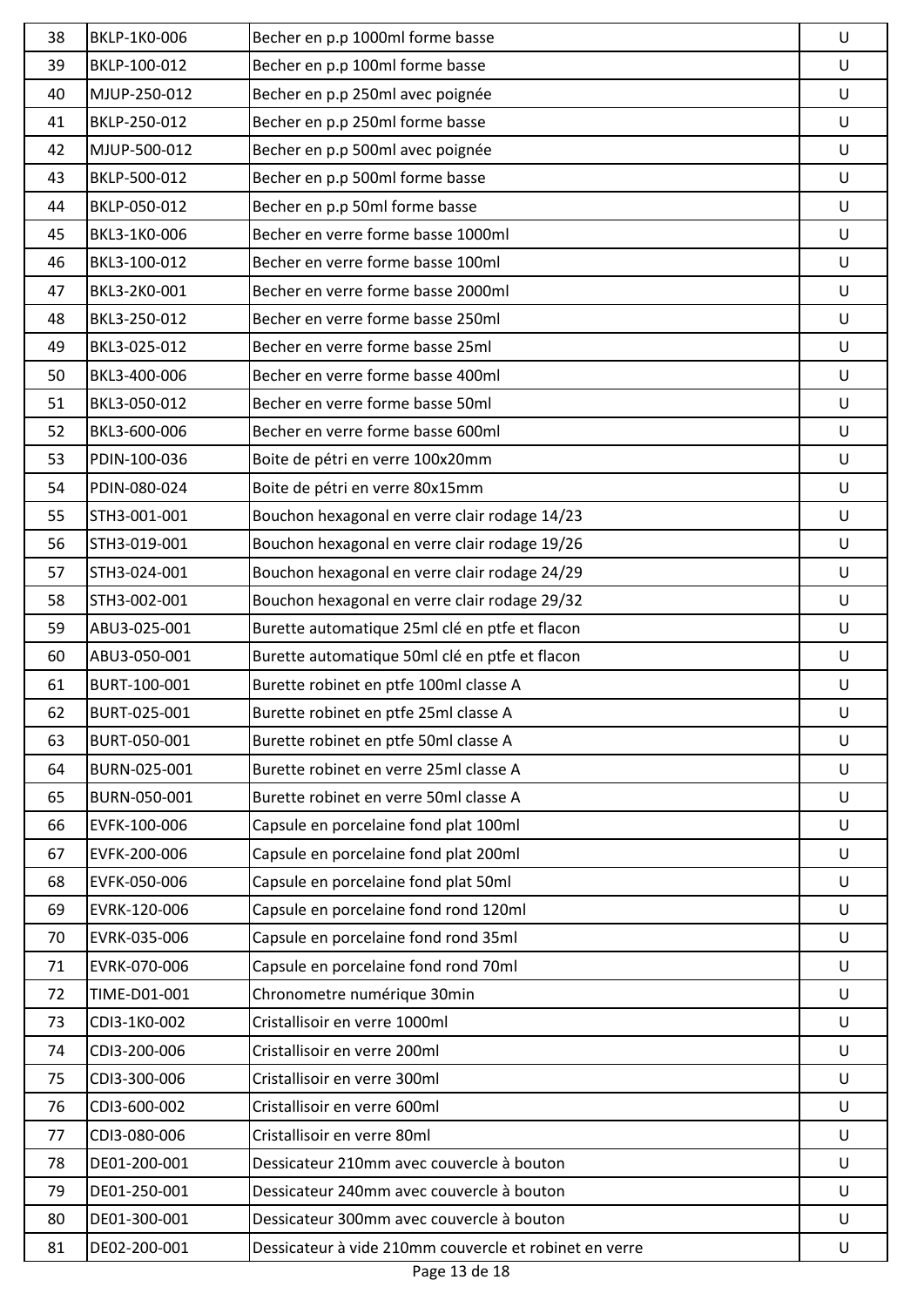| 38 | BKLP-1K0-006 | Becher en p.p 1000ml forme basse                       | U      |
|----|--------------|--------------------------------------------------------|--------|
| 39 | BKLP-100-012 | Becher en p.p 100ml forme basse                        | U      |
| 40 | MJUP-250-012 | Becher en p.p 250ml avec poignée                       | U      |
| 41 | BKLP-250-012 | Becher en p.p 250ml forme basse                        | U      |
| 42 | MJUP-500-012 | Becher en p.p 500ml avec poignée                       | U      |
| 43 | BKLP-500-012 | Becher en p.p 500ml forme basse                        | U      |
| 44 | BKLP-050-012 | Becher en p.p 50ml forme basse                         | U      |
| 45 | BKL3-1K0-006 | Becher en verre forme basse 1000ml                     | U      |
| 46 | BKL3-100-012 | Becher en verre forme basse 100ml                      | U      |
| 47 | BKL3-2K0-001 | Becher en verre forme basse 2000ml                     | $\cup$ |
| 48 | BKL3-250-012 | Becher en verre forme basse 250ml                      | U      |
| 49 | BKL3-025-012 | Becher en verre forme basse 25ml                       | $\cup$ |
| 50 | BKL3-400-006 | Becher en verre forme basse 400ml                      | U      |
| 51 | BKL3-050-012 | Becher en verre forme basse 50ml                       | U      |
| 52 | BKL3-600-006 | Becher en verre forme basse 600ml                      | U      |
| 53 | PDIN-100-036 | Boite de pétri en verre 100x20mm                       | U      |
| 54 | PDIN-080-024 | Boite de pétri en verre 80x15mm                        | U      |
| 55 | STH3-001-001 | Bouchon hexagonal en verre clair rodage 14/23          | U      |
| 56 | STH3-019-001 | Bouchon hexagonal en verre clair rodage 19/26          | U      |
| 57 | STH3-024-001 | Bouchon hexagonal en verre clair rodage 24/29          | U      |
| 58 | STH3-002-001 | Bouchon hexagonal en verre clair rodage 29/32          | U      |
| 59 | ABU3-025-001 | Burette automatique 25ml clé en ptfe et flacon         | U      |
| 60 | ABU3-050-001 | Burette automatique 50ml clé en ptfe et flacon         | U      |
| 61 | BURT-100-001 | Burette robinet en ptfe 100ml classe A                 | U      |
| 62 | BURT-025-001 | Burette robinet en ptfe 25ml classe A                  | U      |
| 63 | BURT-050-001 | Burette robinet en ptfe 50ml classe A                  | U      |
| 64 | BURN-025-001 | Burette robinet en verre 25ml classe A                 | U      |
| 65 | BURN-050-001 | Burette robinet en verre 50ml classe A                 | U      |
| 66 | EVFK-100-006 | Capsule en porcelaine fond plat 100ml                  | U      |
| 67 | EVFK-200-006 | Capsule en porcelaine fond plat 200ml                  | U      |
| 68 | EVFK-050-006 | Capsule en porcelaine fond plat 50ml                   | U      |
| 69 | EVRK-120-006 | Capsule en porcelaine fond rond 120ml                  | U      |
| 70 | EVRK-035-006 | Capsule en porcelaine fond rond 35ml                   | U      |
| 71 | EVRK-070-006 | Capsule en porcelaine fond rond 70ml                   | U      |
| 72 | TIME-D01-001 | Chronometre numérique 30min                            | U      |
| 73 | CDI3-1K0-002 | Cristallisoir en verre 1000ml                          | U      |
| 74 | CDI3-200-006 | Cristallisoir en verre 200ml                           | U      |
| 75 | CDI3-300-006 | Cristallisoir en verre 300ml                           | U      |
| 76 | CDI3-600-002 | Cristallisoir en verre 600ml                           | U      |
| 77 | CDI3-080-006 | Cristallisoir en verre 80ml                            | U      |
| 78 | DE01-200-001 | Dessicateur 210mm avec couvercle à bouton              | U      |
| 79 | DE01-250-001 | Dessicateur 240mm avec couvercle à bouton              | U      |
| 80 | DE01-300-001 | Dessicateur 300mm avec couvercle à bouton              | U      |
| 81 | DE02-200-001 | Dessicateur à vide 210mm couvercle et robinet en verre | U      |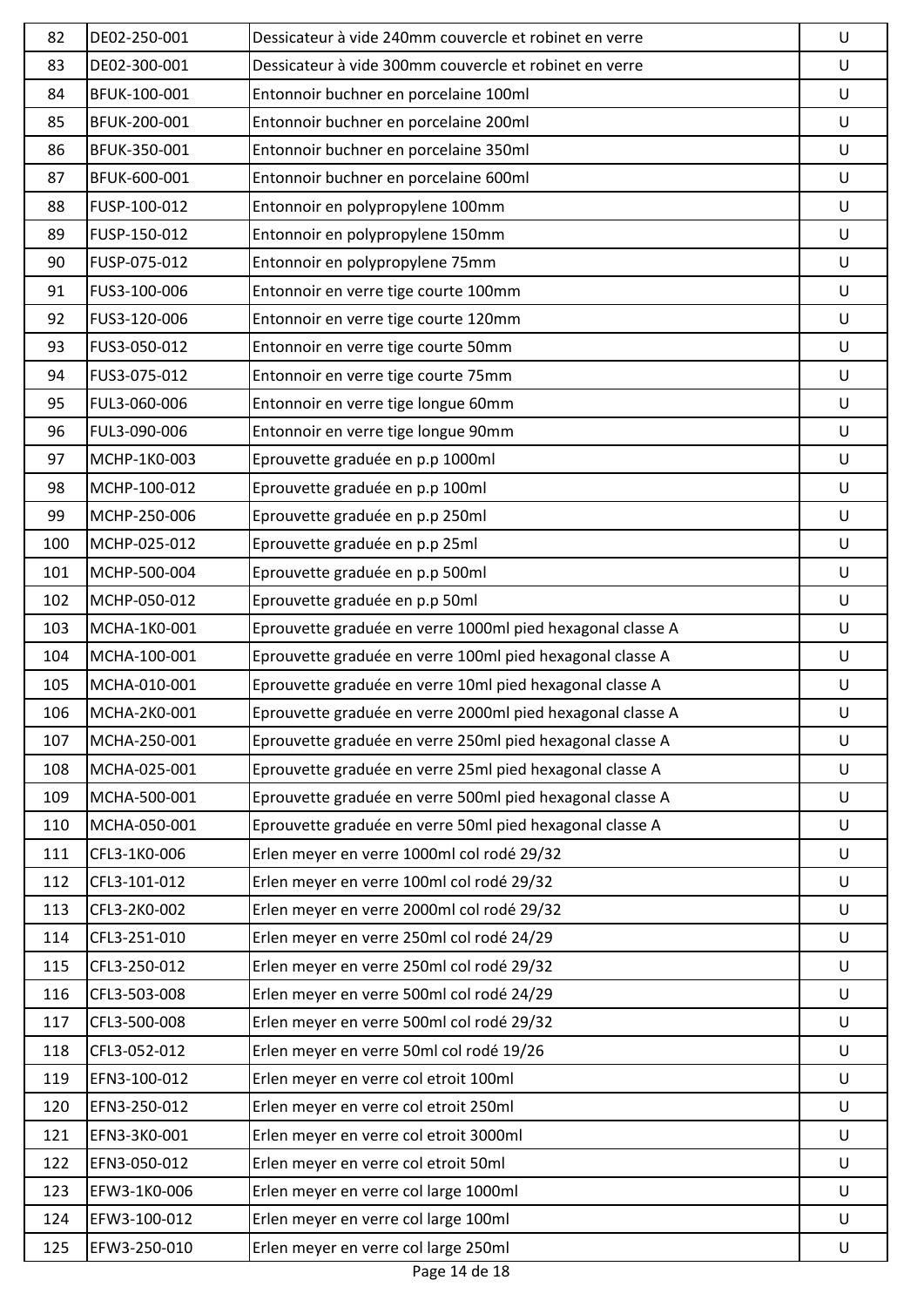| 82  | DE02-250-001 | Dessicateur à vide 240mm couvercle et robinet en verre     | U       |
|-----|--------------|------------------------------------------------------------|---------|
| 83  | DE02-300-001 | Dessicateur à vide 300mm couvercle et robinet en verre     | $\sf U$ |
| 84  | BFUK-100-001 | Entonnoir buchner en porcelaine 100ml                      | U       |
| 85  | BFUK-200-001 | Entonnoir buchner en porcelaine 200ml                      | U       |
| 86  | BFUK-350-001 | Entonnoir buchner en porcelaine 350ml                      | $\sf U$ |
| 87  | BFUK-600-001 | Entonnoir buchner en porcelaine 600ml                      | U       |
| 88  | FUSP-100-012 | Entonnoir en polypropylene 100mm                           | U       |
| 89  | FUSP-150-012 | Entonnoir en polypropylene 150mm                           | U       |
| 90  | FUSP-075-012 | Entonnoir en polypropylene 75mm                            | U       |
| 91  | FUS3-100-006 | Entonnoir en verre tige courte 100mm                       | U       |
| 92  | FUS3-120-006 | Entonnoir en verre tige courte 120mm                       | U       |
| 93  | FUS3-050-012 | Entonnoir en verre tige courte 50mm                        | U       |
| 94  | FUS3-075-012 | Entonnoir en verre tige courte 75mm                        | U       |
| 95  | FUL3-060-006 | Entonnoir en verre tige longue 60mm                        | U       |
| 96  | FUL3-090-006 | Entonnoir en verre tige longue 90mm                        | U       |
| 97  | MCHP-1K0-003 | Eprouvette graduée en p.p 1000ml                           | U       |
| 98  | MCHP-100-012 | Eprouvette graduée en p.p 100ml                            | U       |
| 99  | MCHP-250-006 | Eprouvette graduée en p.p 250ml                            | U       |
| 100 | MCHP-025-012 | Eprouvette graduée en p.p 25ml                             | U       |
| 101 | MCHP-500-004 | Eprouvette graduée en p.p 500ml                            | $\sf U$ |
| 102 | MCHP-050-012 | Eprouvette graduée en p.p 50ml                             | U       |
| 103 | MCHA-1K0-001 | Eprouvette graduée en verre 1000ml pied hexagonal classe A | U       |
| 104 | MCHA-100-001 | Eprouvette graduée en verre 100ml pied hexagonal classe A  | U       |
| 105 | MCHA-010-001 | Eprouvette graduée en verre 10ml pied hexagonal classe A   | U       |
| 106 | MCHA-2K0-001 | Eprouvette graduée en verre 2000ml pied hexagonal classe A | U       |
| 107 | MCHA-250-001 | Eprouvette graduée en verre 250ml pied hexagonal classe A  | U       |
| 108 | MCHA-025-001 | Eprouvette graduée en verre 25ml pied hexagonal classe A   | U       |
| 109 | MCHA-500-001 | Eprouvette graduée en verre 500ml pied hexagonal classe A  | U       |
| 110 | MCHA-050-001 | Eprouvette graduée en verre 50ml pied hexagonal classe A   | U       |
| 111 | CFL3-1K0-006 | Erlen meyer en verre 1000ml col rodé 29/32                 | U       |
| 112 | CFL3-101-012 | Erlen meyer en verre 100ml col rodé 29/32                  | U       |
| 113 | CFL3-2K0-002 | Erlen meyer en verre 2000ml col rodé 29/32                 | U       |
| 114 | CFL3-251-010 | Erlen meyer en verre 250ml col rodé 24/29                  | U       |
| 115 | CFL3-250-012 | Erlen meyer en verre 250ml col rodé 29/32                  | U       |
| 116 | CFL3-503-008 | Erlen meyer en verre 500ml col rodé 24/29                  | U       |
| 117 | CFL3-500-008 | Erlen meyer en verre 500ml col rodé 29/32                  | U       |
| 118 | CFL3-052-012 | Erlen meyer en verre 50ml col rodé 19/26                   | U       |
| 119 | EFN3-100-012 | Erlen meyer en verre col etroit 100ml                      | U       |
| 120 | EFN3-250-012 | Erlen meyer en verre col etroit 250ml                      | U       |
| 121 | EFN3-3K0-001 | Erlen meyer en verre col etroit 3000ml                     | U       |
| 122 | EFN3-050-012 | Erlen meyer en verre col etroit 50ml                       | U       |
| 123 | EFW3-1K0-006 | Erlen meyer en verre col large 1000ml                      | U       |
| 124 | EFW3-100-012 | Erlen meyer en verre col large 100ml                       | U       |
| 125 | EFW3-250-010 | Erlen meyer en verre col large 250ml                       | U       |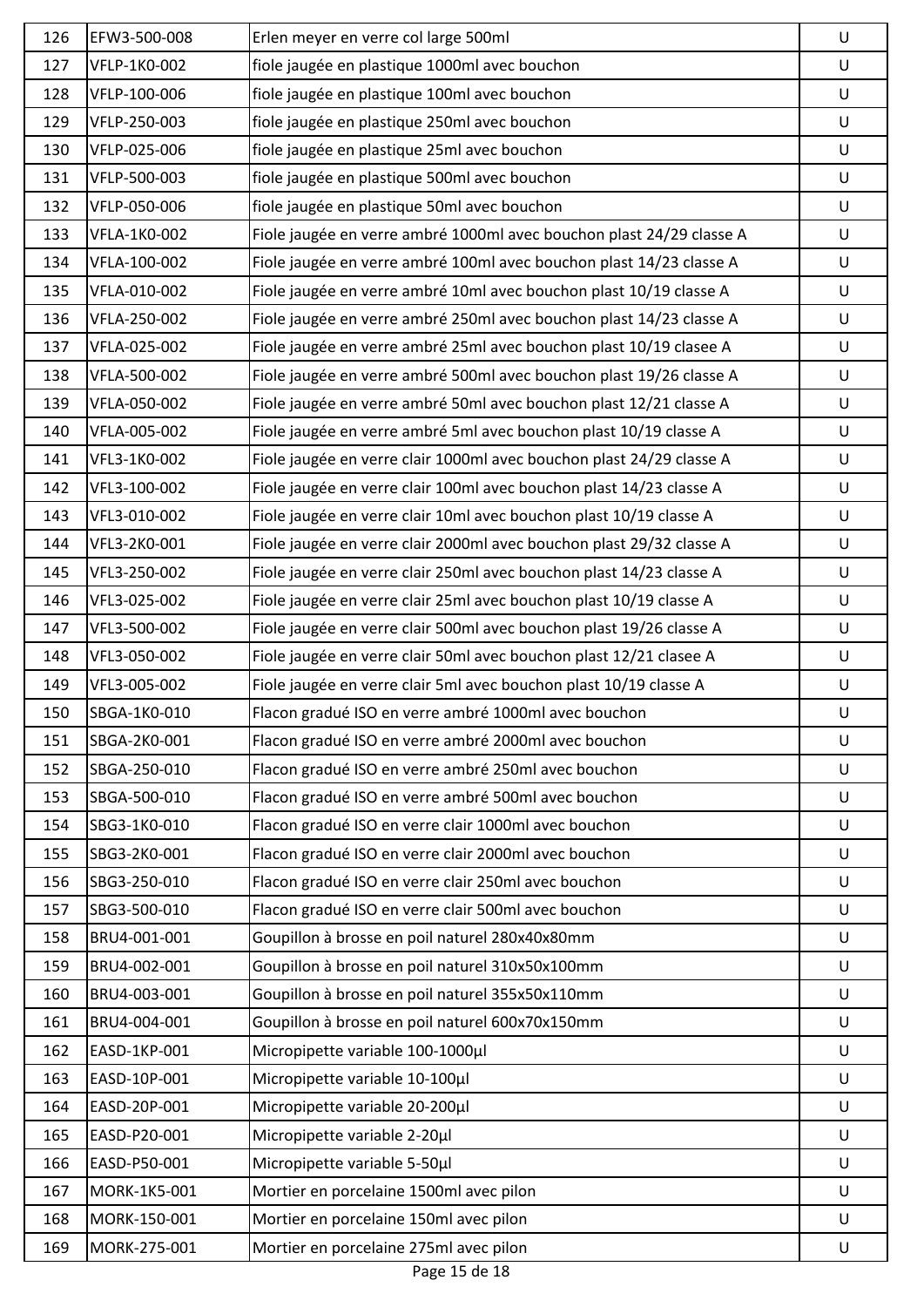| 126 | EFW3-500-008 | Erlen meyer en verre col large 500ml                                 | U       |
|-----|--------------|----------------------------------------------------------------------|---------|
| 127 | VFLP-1K0-002 | fiole jaugée en plastique 1000ml avec bouchon                        | $\sf U$ |
| 128 | VFLP-100-006 | fiole jaugée en plastique 100ml avec bouchon                         | U       |
| 129 | VFLP-250-003 | fiole jaugée en plastique 250ml avec bouchon                         | $\sf U$ |
| 130 | VFLP-025-006 | fiole jaugée en plastique 25ml avec bouchon                          | $\sf U$ |
| 131 | VFLP-500-003 | fiole jaugée en plastique 500ml avec bouchon                         | $\sf U$ |
| 132 | VFLP-050-006 | fiole jaugée en plastique 50ml avec bouchon                          | $\sf U$ |
| 133 | VFLA-1K0-002 | Fiole jaugée en verre ambré 1000ml avec bouchon plast 24/29 classe A | $\sf U$ |
| 134 | VFLA-100-002 | Fiole jaugée en verre ambré 100ml avec bouchon plast 14/23 classe A  | U       |
| 135 | VFLA-010-002 | Fiole jaugée en verre ambré 10ml avec bouchon plast 10/19 classe A   | U       |
| 136 | VFLA-250-002 | Fiole jaugée en verre ambré 250ml avec bouchon plast 14/23 classe A  | U       |
| 137 | VFLA-025-002 | Fiole jaugée en verre ambré 25ml avec bouchon plast 10/19 clasee A   | U       |
| 138 | VFLA-500-002 | Fiole jaugée en verre ambré 500ml avec bouchon plast 19/26 classe A  | U       |
| 139 | VFLA-050-002 | Fiole jaugée en verre ambré 50ml avec bouchon plast 12/21 classe A   | U       |
| 140 | VFLA-005-002 | Fiole jaugée en verre ambré 5ml avec bouchon plast 10/19 classe A    | U       |
| 141 | VFL3-1K0-002 | Fiole jaugée en verre clair 1000ml avec bouchon plast 24/29 classe A | U       |
| 142 | VFL3-100-002 | Fiole jaugée en verre clair 100ml avec bouchon plast 14/23 classe A  | $\sf U$ |
| 143 | VFL3-010-002 | Fiole jaugée en verre clair 10ml avec bouchon plast 10/19 classe A   | U       |
| 144 | VFL3-2K0-001 | Fiole jaugée en verre clair 2000ml avec bouchon plast 29/32 classe A | $\sf U$ |
| 145 | VFL3-250-002 | Fiole jaugée en verre clair 250ml avec bouchon plast 14/23 classe A  | U       |
| 146 | VFL3-025-002 | Fiole jaugée en verre clair 25ml avec bouchon plast 10/19 classe A   | U       |
| 147 | VFL3-500-002 | Fiole jaugée en verre clair 500ml avec bouchon plast 19/26 classe A  | U       |
| 148 | VFL3-050-002 | Fiole jaugée en verre clair 50ml avec bouchon plast 12/21 clasee A   | U       |
| 149 | VFL3-005-002 | Fiole jaugée en verre clair 5ml avec bouchon plast 10/19 classe A    | U       |
| 150 | SBGA-1K0-010 | Flacon gradué ISO en verre ambré 1000ml avec bouchon                 | U       |
| 151 | SBGA-2K0-001 | Flacon gradué ISO en verre ambré 2000ml avec bouchon                 | U       |
| 152 | SBGA-250-010 | Flacon gradué ISO en verre ambré 250ml avec bouchon                  | U       |
| 153 | SBGA-500-010 | Flacon gradué ISO en verre ambré 500ml avec bouchon                  | U       |
| 154 | SBG3-1K0-010 | Flacon gradué ISO en verre clair 1000ml avec bouchon                 | U       |
| 155 | SBG3-2K0-001 | Flacon gradué ISO en verre clair 2000ml avec bouchon                 | U       |
| 156 | SBG3-250-010 | Flacon gradué ISO en verre clair 250ml avec bouchon                  | U       |
| 157 | SBG3-500-010 | Flacon gradué ISO en verre clair 500ml avec bouchon                  | U       |
| 158 | BRU4-001-001 | Goupillon à brosse en poil naturel 280x40x80mm                       | U       |
| 159 | BRU4-002-001 | Goupillon à brosse en poil naturel 310x50x100mm                      | U       |
| 160 | BRU4-003-001 | Goupillon à brosse en poil naturel 355x50x110mm                      | U       |
| 161 | BRU4-004-001 | Goupillon à brosse en poil naturel 600x70x150mm                      | U       |
| 162 | EASD-1KP-001 | Micropipette variable 100-1000µl                                     | U       |
| 163 | EASD-10P-001 | Micropipette variable 10-100µl                                       | U       |
| 164 | EASD-20P-001 | Micropipette variable 20-200µl                                       | U       |
| 165 | EASD-P20-001 | Micropipette variable 2-20µl                                         | U       |
| 166 | EASD-P50-001 | Micropipette variable 5-50µl                                         | U       |
| 167 | MORK-1K5-001 | Mortier en porcelaine 1500ml avec pilon                              | U       |
| 168 | MORK-150-001 | Mortier en porcelaine 150ml avec pilon                               | U       |
| 169 | MORK-275-001 | Mortier en porcelaine 275ml avec pilon                               | U       |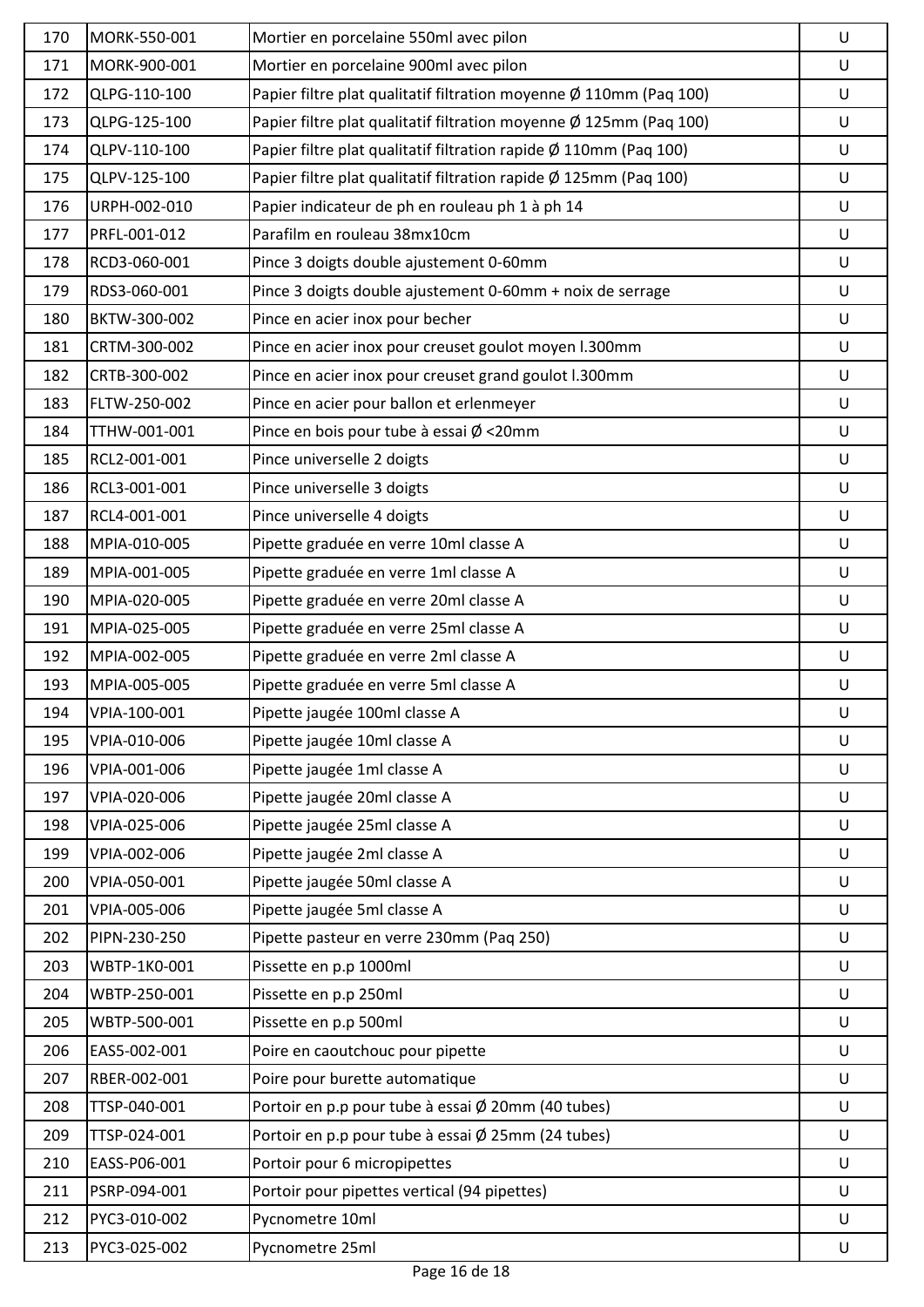| 170 | MORK-550-001 | Mortier en porcelaine 550ml avec pilon                             | U |
|-----|--------------|--------------------------------------------------------------------|---|
| 171 | MORK-900-001 | Mortier en porcelaine 900ml avec pilon                             | U |
| 172 | QLPG-110-100 | Papier filtre plat qualitatif filtration moyenne Ø 110mm (Paq 100) | U |
| 173 | QLPG-125-100 | Papier filtre plat qualitatif filtration moyenne Ø 125mm (Paq 100) | U |
| 174 | QLPV-110-100 | Papier filtre plat qualitatif filtration rapide Ø 110mm (Paq 100)  | U |
| 175 | QLPV-125-100 | Papier filtre plat qualitatif filtration rapide Ø 125mm (Paq 100)  | U |
| 176 | URPH-002-010 | Papier indicateur de ph en rouleau ph 1 à ph 14                    | U |
| 177 | PRFL-001-012 | Parafilm en rouleau 38mx10cm                                       | U |
| 178 | RCD3-060-001 | Pince 3 doigts double ajustement 0-60mm                            | U |
| 179 | RDS3-060-001 | Pince 3 doigts double ajustement 0-60mm + noix de serrage          | U |
| 180 | BKTW-300-002 | Pince en acier inox pour becher                                    | U |
| 181 | CRTM-300-002 | Pince en acier inox pour creuset goulot moyen I.300mm              | U |
| 182 | CRTB-300-002 | Pince en acier inox pour creuset grand goulot I.300mm              | U |
| 183 | FLTW-250-002 | Pince en acier pour ballon et erlenmeyer                           | U |
| 184 | TTHW-001-001 | Pince en bois pour tube à essai $\emptyset$ <20mm                  | U |
| 185 | RCL2-001-001 | Pince universelle 2 doigts                                         | U |
| 186 | RCL3-001-001 | Pince universelle 3 doigts                                         | U |
| 187 | RCL4-001-001 | Pince universelle 4 doigts                                         | U |
| 188 | MPIA-010-005 | Pipette graduée en verre 10ml classe A                             | U |
| 189 | MPIA-001-005 | Pipette graduée en verre 1ml classe A                              | U |
| 190 | MPIA-020-005 | Pipette graduée en verre 20ml classe A                             | U |
| 191 | MPIA-025-005 | Pipette graduée en verre 25ml classe A                             | U |
| 192 | MPIA-002-005 | Pipette graduée en verre 2ml classe A                              | U |
| 193 | MPIA-005-005 | Pipette graduée en verre 5ml classe A                              | U |
| 194 | VPIA-100-001 | Pipette jaugée 100ml classe A                                      | U |
| 195 | VPIA-010-006 | Pipette jaugée 10ml classe A                                       | U |
| 196 | VPIA-001-006 | Pipette jaugée 1ml classe A                                        | U |
| 197 | VPIA-020-006 | Pipette jaugée 20ml classe A                                       | U |
| 198 | VPIA-025-006 | Pipette jaugée 25ml classe A                                       | U |
| 199 | VPIA-002-006 | Pipette jaugée 2ml classe A                                        | U |
| 200 | VPIA-050-001 | Pipette jaugée 50ml classe A                                       | U |
| 201 | VPIA-005-006 | Pipette jaugée 5ml classe A                                        | U |
| 202 | PIPN-230-250 | Pipette pasteur en verre 230mm (Paq 250)                           | U |
| 203 | WBTP-1K0-001 | Pissette en p.p 1000ml                                             | U |
| 204 | WBTP-250-001 | Pissette en p.p 250ml                                              | U |
| 205 | WBTP-500-001 | Pissette en p.p 500ml                                              | U |
| 206 | EAS5-002-001 | Poire en caoutchouc pour pipette                                   | U |
| 207 | RBER-002-001 | Poire pour burette automatique                                     | U |
| 208 | TTSP-040-001 | Portoir en p.p pour tube à essai Ø 20mm (40 tubes)                 | U |
| 209 | TTSP-024-001 | Portoir en p.p pour tube à essai Ø 25mm (24 tubes)                 | U |
| 210 | EASS-P06-001 | Portoir pour 6 micropipettes                                       | U |
| 211 | PSRP-094-001 | Portoir pour pipettes vertical (94 pipettes)                       | U |
| 212 | PYC3-010-002 | Pycnometre 10ml                                                    | U |
| 213 | PYC3-025-002 | Pycnometre 25ml                                                    | U |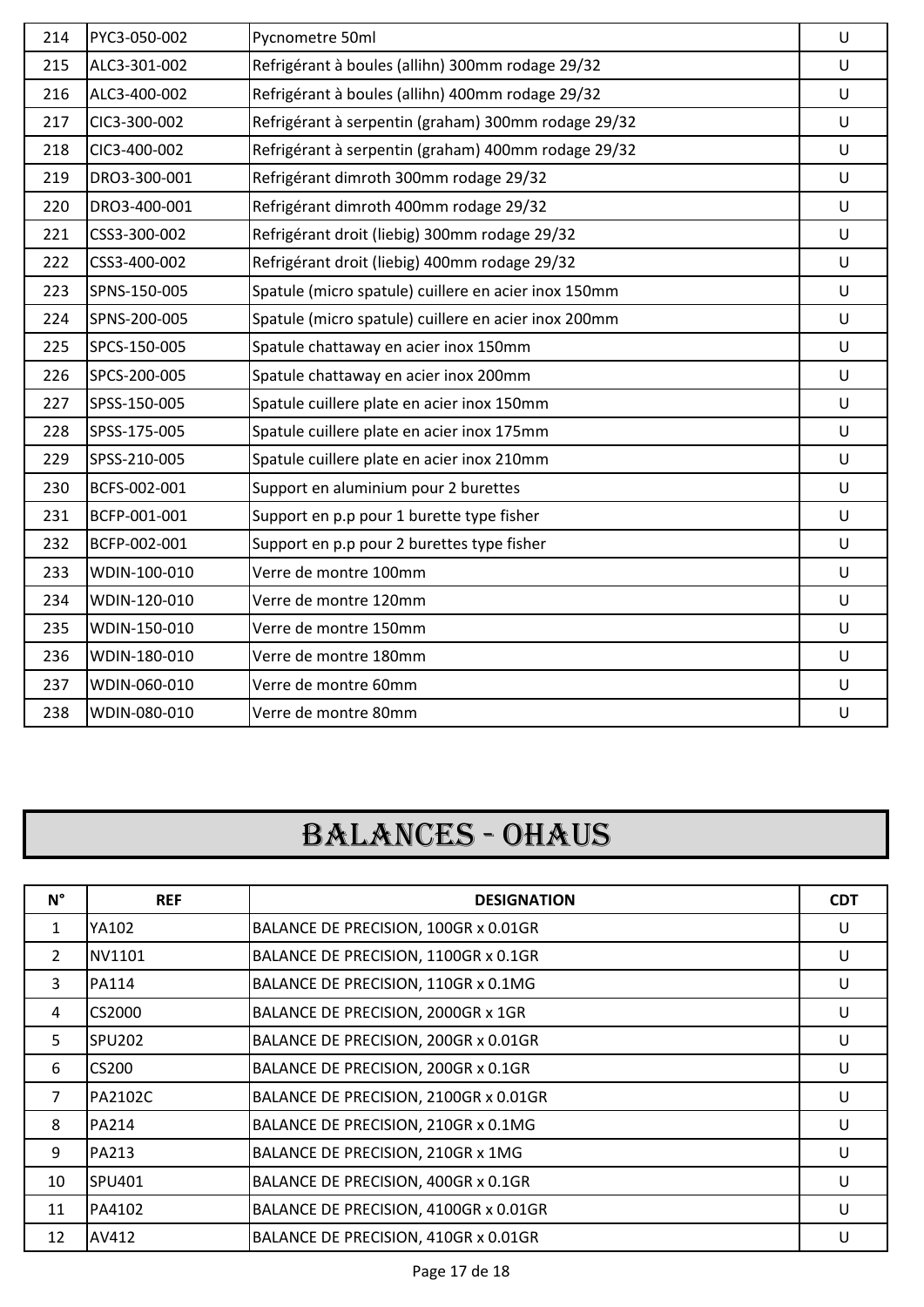| 214 | PYC3-050-002 | Pycnometre 50ml                                      | $\cup$  |
|-----|--------------|------------------------------------------------------|---------|
| 215 | ALC3-301-002 | Refrigérant à boules (allihn) 300mm rodage 29/32     | $\cup$  |
| 216 | ALC3-400-002 | Refrigérant à boules (allihn) 400mm rodage 29/32     | $\cup$  |
| 217 | CIC3-300-002 | Refrigérant à serpentin (graham) 300mm rodage 29/32  | $\cup$  |
| 218 | CIC3-400-002 | Refrigérant à serpentin (graham) 400mm rodage 29/32  | U       |
| 219 | DRO3-300-001 | Refrigérant dimroth 300mm rodage 29/32               | $\cup$  |
| 220 | DRO3-400-001 | Refrigérant dimroth 400mm rodage 29/32               | $\cup$  |
| 221 | CSS3-300-002 | Refrigérant droit (liebig) 300mm rodage 29/32        | $\cup$  |
| 222 | CSS3-400-002 | Refrigérant droit (liebig) 400mm rodage 29/32        | $\cup$  |
| 223 | SPNS-150-005 | Spatule (micro spatule) cuillere en acier inox 150mm | $\cup$  |
| 224 | SPNS-200-005 | Spatule (micro spatule) cuillere en acier inox 200mm | $\cup$  |
| 225 | SPCS-150-005 | Spatule chattaway en acier inox 150mm                | $\cup$  |
| 226 | SPCS-200-005 | Spatule chattaway en acier inox 200mm                | $\cup$  |
| 227 | SPSS-150-005 | Spatule cuillere plate en acier inox 150mm           | $\cup$  |
| 228 | SPSS-175-005 | Spatule cuillere plate en acier inox 175mm           | U       |
| 229 | SPSS-210-005 | Spatule cuillere plate en acier inox 210mm           | $\sf U$ |
| 230 | BCFS-002-001 | Support en aluminium pour 2 burettes                 | $\sf U$ |
| 231 | BCFP-001-001 | Support en p.p pour 1 burette type fisher            | $\cup$  |
| 232 | BCFP-002-001 | Support en p.p pour 2 burettes type fisher           | $\sf U$ |
| 233 | WDIN-100-010 | Verre de montre 100mm                                | $\sf U$ |
| 234 | WDIN-120-010 | Verre de montre 120mm                                | U       |
| 235 | WDIN-150-010 | Verre de montre 150mm                                | $\cup$  |
| 236 | WDIN-180-010 | Verre de montre 180mm                                | $\cup$  |
| 237 | WDIN-060-010 | Verre de montre 60mm                                 | $\cup$  |
| 238 | WDIN-080-010 | Verre de montre 80mm                                 | U       |

### BALANCES - OHAUS

| $N^{\circ}$    | <b>REF</b>         | <b>DESIGNATION</b>                    | <b>CDT</b> |
|----------------|--------------------|---------------------------------------|------------|
| $\mathbf{1}$   | YA102              | BALANCE DE PRECISION, 100GR x 0.01GR  | U          |
| $\overline{2}$ | NV1101             | BALANCE DE PRECISION, 1100GR x 0.1GR  | U          |
| 3              | PA114              | BALANCE DE PRECISION, 110GR x 0.1MG   | U          |
| 4              | CS2000             | BALANCE DE PRECISION, 2000GR x 1GR    | U          |
| 5              | SPU <sub>202</sub> | BALANCE DE PRECISION, 200GR x 0.01GR  | U          |
| 6              | CS200              | BALANCE DE PRECISION, 200GR x 0.1GR   | U          |
| $\overline{7}$ | PA2102C            | BALANCE DE PRECISION, 2100GR x 0.01GR | U          |
| 8              | PA214              | BALANCE DE PRECISION, 210GR x 0.1MG   | U          |
| 9              | PA213              | BALANCE DE PRECISION, 210GR x 1MG     | U          |
| 10             | SPU401             | BALANCE DE PRECISION, 400GR x 0.1GR   | U          |
| 11             | PA4102             | BALANCE DE PRECISION, 4100GR x 0.01GR | U          |
| 12             | AV412              | BALANCE DE PRECISION, 410GR x 0.01GR  | U          |